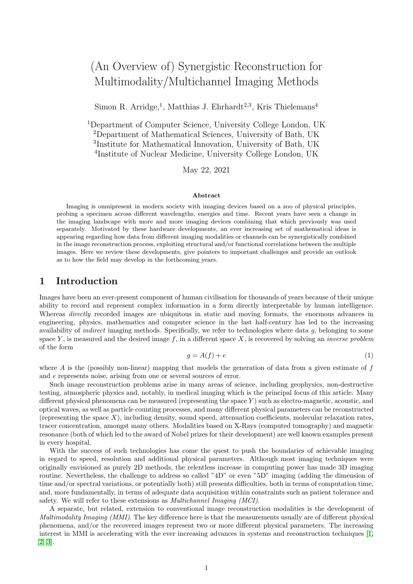# (An Overview of) Synergistic Reconstruction for Multimodality/Multichannel Imaging Methods

Simon R. Arridge,<sup>1</sup>, Matthias J. Ehrhardt<sup>2,3</sup>, Kris Thielemans<sup>4</sup>

Department of Computer Science, University College London, UK Department of Mathematical Sciences, University of Bath, UK Institute for Mathematical Innovation, University of Bath, UK Institute of Nuclear Medicine, University College London, UK

May 22, 2021

#### Abstract

Imaging is omnipresent in modern society with imaging devices based on a zoo of physical principles, probing a specimen across different wavelengths, energies and time. Recent years have seen a change in the imaging landscape with more and more imaging devices combining that which previously was used separately. Motivated by these hardware developments, an ever increasing set of mathematical ideas is appearing regarding how data from different imaging modalities or channels can be synergistically combined in the image reconstruction process, exploiting structural and/or functional correlations between the multiple images. Here we review these developments, give pointers to important challenges and provide an outlook as to how the field may develop in the forthcoming years.

## 1 Introduction

Images have been an ever-present component of human civilisation for thousands of years because of their unique ability to record and represent complex information in a form directly interpretable by human intelligence. Whereas *directly* recorded images are ubiquitous in static and moving formats, the enormous advances in engineering, physics, mathematics and computer science in the last half-century has led to the increasing availability of *indirect* imaging methods. Specifically, we refer to technologies where data  $q$ , belonging to some space Y, is measured and the desired image f, in a different space X, is recovered by solving an *inverse problem* of the form

<span id="page-0-0"></span>
$$
g = A(f) + e \tag{1}
$$

where  $A$  is the (possibly non-linear) mapping that models the generation of data from a given estimate of  $f$ and e represents noise, arising from one or several sources of error.

Such image reconstruction problems arise in many areas of science, including geophysics, non-destructive testing, atmospheric physics and, notably, in medical imaging which is the principal focus of this article. Many different physical phenomena can be measured (representing the space Y) such as electro-magnetic, acoustic, and optical waves, as well as particle counting processes, and many different physical parameters can be reconstructed (representing the space  $X$ ), including density, sound speed, attenuation coefficients, molecular relaxation rates, tracer concentration, amongst many others. Modalities based on X-Rays (computed tomography) and magnetic resonance (both of which led to the award of Nobel prizes for their development) are well known examples present in every hospital.

With the success of such technologies has come the quest to push the boundaries of achievable imaging in regard to speed, resolution and additional physical parameters. Although most imaging techniques were originally envisioned as purely 2D methods, the relentless increase in computing power has made 3D imaging routine. Nevertheless, the challenge to address so called "4D" or even "5D" imaging (adding the dimension of time and/or spectral variations, or potentially both) still presents difficulties, both in terms of computation time, and, more fundamentally, in terms of adequate data acquisition within constraints such as patient tolerance and safety. We will refer to these extensions as Multichannel Imaging (MCI).

A separate, but related, extension to conventional image reconstruction modalities is the development of Multimodality Imaging (MMI). The key difference here is that the measurements usually are of different physical phenomena, and/or the recovered images represent two or more different physical parameters. The increasing interest in MMI is accelerating with the ever increasing advances in systems and reconstruction techniques [\[1,](#page-11-0) [2,](#page-11-1) [3\]](#page-11-2).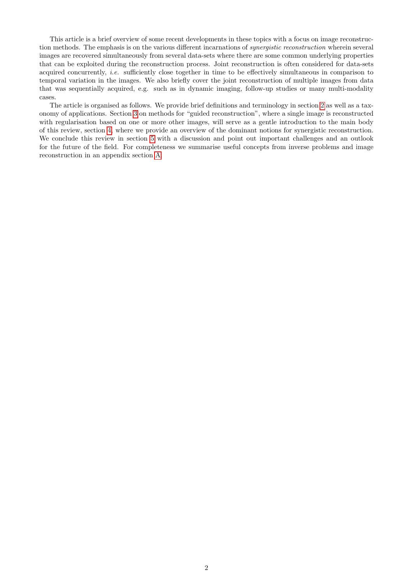This article is a brief overview of some recent developments in these topics with a focus on image reconstruction methods. The emphasis is on the various different incarnations of synergistic reconstruction wherein several images are recovered simultaneously from several data-sets where there are some common underlying properties that can be exploited during the reconstruction process. Joint reconstruction is often considered for data-sets acquired concurrently, i.e. sufficiently close together in time to be effectively simultaneous in comparison to temporal variation in the images. We also briefly cover the joint reconstruction of multiple images from data that was sequentially acquired, e.g. such as in dynamic imaging, follow-up studies or many multi-modality cases.

The article is organised as follows. We provide brief definitions and terminology in section [2](#page-2-0) as well as a taxonomy of applications. Section [3](#page-4-0) on methods for "guided reconstruction", where a single image is reconstructed with regularisation based on one or more other images, will serve as a gentle introduction to the main body of this review, section [4,](#page-6-0) where we provide an overview of the dominant notions for synergistic reconstruction. We conclude this review in section [5](#page-10-0) with a discussion and point out important challenges and an outlook for the future of the field. For completeness we summarise useful concepts from inverse problems and image reconstruction in an appendix section [A.](#page-18-0)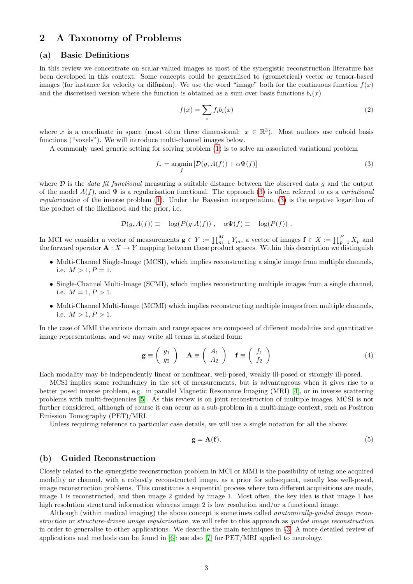## <span id="page-2-0"></span>2 A Taxonomy of Problems

#### <span id="page-2-2"></span>(a) Basic Definitions

In this review we concentrate on scalar-valued images as most of the synergistic reconstruction literature has been developed in this context. Some concepts could be generalised to (geometrical) vector or tensor-based images (for instance for velocity or diffusion). We use the word "image" both for the continuous function  $f(x)$ and the discretised version where the function is obtained as a sum over basis functions  $b_i(x)$ 

<span id="page-2-3"></span>
$$
f(x) = \sum_{i} f_i b_i(x) \tag{2}
$$

where x is a coordinate in space (most often three dimensional:  $x \in \mathbb{R}^3$ ). Most authors use cuboid basis functions ("voxels"). We will introduce multi-channel images below.

A commonly used generic setting for solving problem [\(1\)](#page-0-0) is to solve an associated variational problem

<span id="page-2-1"></span>
$$
f_* = \underset{f}{\text{argmin}} \left[ \mathcal{D}(g, A(f)) + \alpha \Psi(f) \right] \tag{3}
$$

where  $\mathcal D$  is the *data fit functional* measuring a suitable distance between the observed data q and the output of the model  $A(f)$ , and  $\Psi$  is a regularisation functional. The approach [\(3\)](#page-2-1) is often referred to as a variational regularization of the inverse problem [\(1\)](#page-0-0). Under the Bayesian interpretation, [\(3\)](#page-2-1) is the negative logarithm of the product of the likelihood and the prior, i.e.

$$
\mathcal{D}(g, A(f)) \equiv -\log(P(g|A(f))), \quad \alpha \Psi(f) \equiv -\log(P(f)).
$$

In MCI we consider a vector of measurements  $\mathbf{g} \in Y := \prod_{m=1}^{M} Y_m$ , a vector of images  $\mathbf{f} \in X := \prod_{p=1}^{P} X_p$  and the forward operator  $\mathbf{A}: X \to Y$  mapping between these product spaces. Within this description we distinguish

- Multi-Channel Single-Image (MCSI), which implies reconstructing a single image from multiple channels, i.e.  $M > 1, P = 1$ .
- Single-Channel Multi-Image (SCMI), which implies reconstructing multiple images from a single channel, i.e.  $M = 1, P > 1$ .
- Multi-Channel Multi-Image (MCMI) which implies reconstructing multiple images from multiple channels, i.e.  $M > 1, P > 1$ .

In the case of MMI the various domain and range spaces are composed of different modalities and quantitative image representations, and we may write all terms in stacked form:

<span id="page-2-5"></span>
$$
\mathbf{g} \equiv \left( \begin{array}{c} g_1 \\ g_2 \end{array} \right) \quad \mathbf{A} \equiv \left( \begin{array}{c} A_1 \\ A_2 \end{array} \right) \quad \mathbf{f} \equiv \left( \begin{array}{c} f_1 \\ f_2 \end{array} \right) \tag{4}
$$

Each modality may be independently linear or nonlinear, well-posed, weakly ill-posed or strongly ill-posed.

MCSI implies some redundancy in the set of measurements, but is advantageous when it gives rise to a better posed inverse problem, e.g. in parallel Magnetic Resonance Imaging (MRI) [\[4\]](#page-11-3), or in inverse scattering problems with multi-frequencies [\[5\]](#page-11-4). As this review is on joint reconstruction of multiple images, MCSI is not further considered, although of course it can occur as a sub-problem in a multi-image context, such as Positron Emission Tomography (PET)/MRI.

Unless requiring reference to particular case details, we will use a single notation for all the above:

<span id="page-2-4"></span>
$$
\mathbf{g} = \mathbf{A}(\mathbf{f}).\tag{5}
$$

#### (b) Guided Reconstruction

Closely related to the synergistic reconstruction problem in MCI or MMI is the possibility of using one acquired modality or channel, with a robustly reconstructed image, as a prior for subsequent, usually less well-posed, image reconstruction problems. This constitutes a sequential process where two different acquisitions are made, image 1 is reconstructed, and then image 2 guided by image 1. Most often, the key idea is that image 1 has high resolution structural information whereas image 2 is low resolution and/or a functional image.

Although (within medical imaging) the above concept is sometimes called anatomically-guided image reconstruction or structure-driven image regularisation, we will refer to this approach as guided image reconstruction in order to generalise to other applications. We describe the main techniques in §[3.](#page-4-0) A more detailed review of applications and methods can be found in [\[6\]](#page-11-5); see also [\[7\]](#page-11-6) for PET/MRI applied to neurology.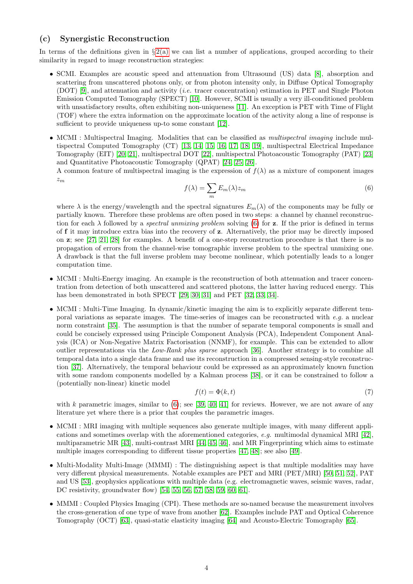#### (c) Synergistic Reconstruction

In terms of the definitions given in  $\S 2(a)$  $\S 2(a)$  we can list a number of applications, grouped according to their similarity in regard to image reconstruction strategies:

- SCMI. Examples are acoustic speed and attenuation from Ultrasound (US) data [\[8\]](#page-11-7), absorption and scattering from unscattered photons only, or from photon intensity only, in Diffuse Optical Tomography (DOT) [\[9\]](#page-11-8), and attenuation and activity (i.e. tracer concentration) estimation in PET and Single Photon Emission Computed Tomography (SPECT) [\[10\]](#page-11-9). However, SCMI is usually a very ill-conditioned problem with unsatisfactory results, often exhibiting non-uniqueness [\[11\]](#page-11-10). An exception is PET with Time of Flight (TOF) where the extra information on the approximate location of the activity along a line of response is sufficient to provide uniqueness up-to some constant [\[12\]](#page-11-11).
- MCMI : Multispectral Imaging. Modalities that can be classified as *multispectral imaging* include multispectral Computed Tomography (CT) [\[13,](#page-12-0) [14,](#page-12-1) [15,](#page-12-2) [16,](#page-12-3) [17,](#page-12-4) [18,](#page-12-5) [19\]](#page-12-6), multispectral Electrical Impedance Tomography (EIT) [\[20,](#page-12-7) [21\]](#page-12-8), multispectral DOT [\[22\]](#page-12-9), multispectral Photoacoustic Tomography (PAT) [\[23\]](#page-12-10) and Quantitative Photoacoustic Tomography (QPAT) [\[24,](#page-12-11) [25,](#page-12-12) [26\]](#page-12-13).

A common feature of multispectral imaging is the expression of  $f(\lambda)$  as a mixture of component images  $z_m$ 

<span id="page-3-0"></span>
$$
f(\lambda) = \sum_{m} E_m(\lambda) z_m \tag{6}
$$

where  $\lambda$  is the energy/wavelength and the spectral signatures  $E_m(\lambda)$  of the components may be fully or partially known. Therefore these problems are often posed in two steps: a channel by channel reconstruction for each  $\lambda$  followed by a spectral unmixing problem solving [\(6\)](#page-3-0) for z. If the prior is defined in terms of f it may introduce extra bias into the recovery of z. Alternatively, the prior may be directly imposed on z; see [\[27,](#page-12-14) [21,](#page-12-8) [28\]](#page-12-15) for examples. A benefit of a one-step reconstruction procedure is that there is no propagation of errors from the channel-wise tomographic inverse problem to the spectral unmixing one. A drawback is that the full inverse problem may become nonlinear, which potentially leads to a longer computation time.

- MCMI : Multi-Energy imaging. An example is the reconstruction of both attenuation and tracer concentration from detection of both unscattered and scattered photons, the latter having reduced energy. This has been demonstrated in both SPECT [\[29,](#page-12-16) [30,](#page-12-17) [31\]](#page-12-18) and PET [\[32,](#page-12-19) [33,](#page-12-20) [34\]](#page-12-21).
- MCMI : Multi-Time Imaging. In dynamic/kinetic imaging the aim is to explicitly separate different temporal variations as separate images. The time-series of images can be reconstructed with  $e.g.$  a nuclear norm constraint [\[35\]](#page-13-0). The assumption is that the number of separate temporal components is small and could be concisely expressed using Principle Component Analysis (PCA), Independent Component Analysis (ICA) or Non-Negative Matrix Factorisation (NNMF), for example. This can be extended to allow outlier representations via the Low-Rank plus sparse approach [\[36\]](#page-13-1). Another strategy is to combine all temporal data into a single data frame and use its reconstruction in a compressed sensing-style reconstruction [\[37\]](#page-13-2). Alternatively, the temporal behaviour could be expressed as an approximately known function with some random components modelled by a Kalman process [\[38\]](#page-13-3), or it can be constrained to follow a (potentially non-linear) kinetic model

$$
f(t) = \Phi(k, t) \tag{7}
$$

with k parametric images, similar to  $(6)$ ; see [\[39,](#page-13-4) [40,](#page-13-5) [41\]](#page-13-6) for reviews. However, we are not aware of any literature yet where there is a prior that couples the parametric images.

- MCMI : MRI imaging with multiple sequences also generate multiple images, with many different applications and sometimes overlap with the aforementioned categories, e.g. multimodal dynamical MRI  $[42]$ , multiparametric MR [\[43\]](#page-13-8), multi-contrast MRI [\[44,](#page-13-9) [45,](#page-13-10) [46\]](#page-13-11), and MR Fingerprinting which aims to estimate multiple images corresponding to different tissue properties [\[47,](#page-13-12) [48\]](#page-13-13); see also [\[49\]](#page-13-14).
- Multi-Modality Multi-Image (MMMI) : The distinguishing aspect is that multiple modalities may have very different physical measurements. Notable examples are PET and MRI (PET/MRI) [\[50,](#page-13-15) [51,](#page-13-16) [52\]](#page-13-17), PAT and US [\[53\]](#page-13-18), geophysics applications with multiple data (e.g. electromagnetic waves, seismic waves, radar, DC resistivity, groundwater flow) [\[54,](#page-13-19) [55,](#page-13-20) [56,](#page-13-21) [57,](#page-13-22) [58,](#page-14-0) [59,](#page-14-1) [60,](#page-14-2) [61\]](#page-14-3).
- MMMI : Coupled Physics Imaging (CPI). These methods are so-named because the measurement involves the cross-generation of one type of wave from another [\[62\]](#page-14-4). Examples include PAT and Optical Coherence Tomography (OCT) [\[63\]](#page-14-5), quasi-static elasticity imaging [\[64\]](#page-14-6) and Acousto-Electric Tomography [\[65\]](#page-14-7).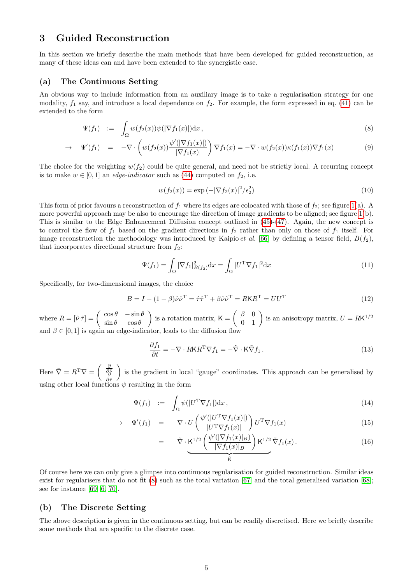## <span id="page-4-0"></span>3 Guided Reconstruction

In this section we briefly describe the main methods that have been developed for guided reconstruction, as many of these ideas can and have been extended to the synergistic case.

#### <span id="page-4-3"></span>(a) The Continuous Setting

An obvious way to include information from an auxiliary image is to take a regularisation strategy for one modality,  $f_1$  say, and introduce a local dependence on  $f_2$ . For example, the form expressed in eq. [\(41\)](#page-19-0) can be extended to the form

<span id="page-4-1"></span>
$$
\Psi(f_1) \quad := \quad \int_{\Omega} w(f_2(x))\psi(|\nabla f_1(x)|) \mathrm{d}x \,, \tag{8}
$$

$$
\rightarrow \Psi'(f_1) = -\nabla \cdot \left( w(f_2(x)) \frac{\psi'(|\nabla f_1(x)|)}{|\nabla f_1(x)|} \right) \nabla f_1(x) = -\nabla \cdot w(f_2(x)) \kappa(f_1(x)) \nabla f_1(x) \tag{9}
$$

The choice for the weighting  $w(f_2)$  could be quite general, and need not be strictly local. A recurring concept is to make  $w \in [0, 1]$  an *edge-indicator* such as [\(44\)](#page-19-1) computed on  $f_2$ , i.e.

<span id="page-4-2"></span>
$$
w(f_2(x)) = \exp(-|\nabla f_2(x)|^2/\epsilon_2^2)
$$
\n(10)

This form of prior favours a reconstruction of  $f_1$  where its edges are colocated with those of  $f_2$ ; see figure [1\(](#page-7-0)a). A more powerful approach may be also to encourage the direction of image gradients to be aligned; see figure [1\(](#page-7-0)b). This is similar to the Edge Enhancement Diffusion concept outlined in [\(45\)](#page-19-2)-[\(47\)](#page-19-3). Again, the new concept is to control the flow of  $f_1$  based on the gradient directions in  $f_2$  rather than only on those of  $f_1$  itself. For image reconstruction the methodology was introduced by Kaipio *et al.* [\[66\]](#page-14-8) by defining a tensor field,  $B(f_2)$ , that incorporates directional structure from  $f_2$ :

$$
\Psi(f_1) = \int_{\Omega} |\nabla f_1|_{B(f_2)}^2 \mathrm{d}x = \int_{\Omega} |U^{\mathrm{T}} \nabla f_1|^2 \mathrm{d}x \tag{11}
$$

Specifically, for two-dimensional images, the choice

$$
B = I - (1 - \beta)\hat{\nu}\hat{\nu}^{\mathrm{T}} = \hat{\tau}\hat{\tau}^{\mathrm{T}} + \beta\hat{\nu}\hat{\nu}^{\mathrm{T}} = RKR^{\mathrm{T}} = UU^{\mathrm{T}}
$$
\n(12)

where  $R = [\hat{\nu} \hat{\tau}] = \begin{pmatrix} \cos \theta & -\sin \theta \\ \sin \theta & \cos \theta \end{pmatrix}$  $\sin \theta \quad \cos \theta$ ) is a rotation matrix,  $K = \begin{pmatrix} \beta & 0 \\ 0 & 1 \end{pmatrix}$  is an anisotropy matrix,  $U = R K^{1/2}$ and  $\beta \in [0, 1]$  is again an edge-indicator, leads to the diffusion flow

$$
\frac{\partial f_1}{\partial t} = -\nabla \cdot R \mathsf{K} R^{\mathrm{T}} \nabla f_1 = -\tilde{\nabla} \cdot \mathsf{K} \tilde{\nabla} f_1. \tag{13}
$$

Here  $\tilde{\nabla} = R^{\mathrm{T}} \nabla = \begin{pmatrix} \frac{\partial}{\partial \hat{\rho}} \\ \frac{\partial}{\partial \hat{\tau}} \end{pmatrix}$  is the gradient in local "gauge" coordinates. This approach can be generalised by using other local functions  $\psi$  resulting in the form

$$
\Psi(f_1) \quad := \quad \int_{\Omega} \psi(|U^{\mathrm{T}} \nabla f_1|) \mathrm{d}x \,, \tag{14}
$$

$$
\rightarrow \quad \Psi'(f_1) = -\nabla \cdot U\left(\frac{\psi'(|U^T \nabla f_1(x)|)}{|U^T \nabla f_1(x)|}\right) U^T \nabla f_1(x) \tag{15}
$$

$$
= -\tilde{\nabla} \cdot \underbrace{\mathsf{K}^{1/2} \left( \frac{\psi'(|\nabla f_1(x)|_B)}{|\nabla f_1(x)|_B} \right) \mathsf{K}^{1/2} \tilde{\nabla} f_1(x)}_{\tilde{\mathsf{K}}}.
$$
 (16)

Of course here we can only give a glimpse into continuous regularisation for guided reconstruction. Similar ideas exist for regularisers that do not fit [\(8\)](#page-4-1) such as the total variation [\[67\]](#page-14-9) and the total generalised variation [\[68\]](#page-14-10); see for instance [\[69,](#page-14-11) [6,](#page-11-5) [70\]](#page-14-12).

#### (b) The Discrete Setting

The above description is given in the continuous setting, but can be readily discretised. Here we briefly describe some methods that are specific to the discrete case.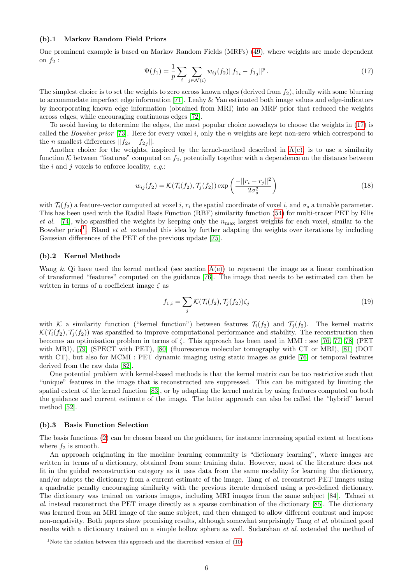#### (b).1 Markov Random Field Priors

One prominent example is based on Markov Random Fields (MRFs) [\(49\)](#page-19-4), where weights are made dependent on  $f_2$ :

<span id="page-5-0"></span>
$$
\Psi(f_1) = \frac{1}{p} \sum_{i} \sum_{j \in \mathcal{N}(i)} w_{ij}(f_2) \| f_{1i} - f_{1j} \|^p.
$$
\n(17)

The simplest choice is to set the weights to zero across known edges (derived from  $f_2$ ), ideally with some blurring to accommodate imperfect edge information [\[71\]](#page-14-13). Leahy & Yan estimated both image values and edge-indicators by incorporating known edge information (obtained from MRI) into an MRF prior that reduced the weights across edges, while encouraging continuous edges [\[72\]](#page-14-14).

To avoid having to determine the edges, the most popular choice nowadays to choose the weights in [\(17\)](#page-5-0) is called the Bowsher prior [\[73\]](#page-14-15). Here for every voxel i, only the n weights are kept non-zero which correspond to the *n* smallest differences  $||f_{2i} - f_{2j}||$ .

Another choice for the weights, inspired by the kernel-method described in  $A(e)$ , is to use a similarity function  $K$  between "features" computed on  $f_2$ , potentially together with a dependence on the distance between the i and j voxels to enforce locality,  $e.g.:$ 

<span id="page-5-2"></span>
$$
w_{ij}(f_2) = \mathcal{K}(\mathcal{T}_i(f_2), \mathcal{T}_j(f_2)) \exp\left(\frac{-||r_i - r_j||^2}{2\sigma_s^2}\right)
$$
 (18)

with  $\mathcal{T}_i(f_2)$  a feature-vector computed at voxel i,  $r_i$  the spatial coordinate of voxel i, and  $\sigma_s$  a tunable parameter. This has been used with the Radial Basis Function (RBF) similarity function [\(54\)](#page-20-1) for multi-tracer PET by Ellis et al. [\[74\]](#page-14-16), who sparsified the weights by keeping only the  $n_{\text{max}}$  largest weights for each voxel, similar to the Bowsher prior<sup>[1](#page-5-1)</sup>. Bland *et al.* extended this idea by further adapting the weights over iterations by including Gaussian differences of the PET of the previous update [\[75\]](#page-14-17).

#### (b).2 Kernel Methods

Wang & Qi have used the kernel method (see section  $A(e)$ ) to represent the image as a linear combination of transformed "features" computed on the guidance [\[76\]](#page-14-18). The image that needs to be estimated can then be written in terms of a coefficient image  $\zeta$  as

$$
f_{1,i} = \sum_{j} \mathcal{K}(\mathcal{T}_i(f_2), \mathcal{T}_j(f_2)) \zeta_j \tag{19}
$$

with K a similarity function ("kernel function") between features  $\mathcal{T}_i(f_2)$  and  $\mathcal{T}_i(f_2)$ . The kernel matrix  $\mathcal{K}(\mathcal{T}_i(f_2), \mathcal{T}_i(f_2))$  was sparsified to improve computational performance and stability. The reconstruction then becomes an optimisation problem in terms of  $\zeta$ . This approach has been used in MMI : see [\[76,](#page-14-18) [77,](#page-14-19) [78\]](#page-14-20) (PET with MRI), [\[79\]](#page-14-21) (SPECT with PET), [\[80\]](#page-14-22) (fluorescence molecular tomography with CT or MRI), [\[81\]](#page-15-0) (DOT with CT), but also for MCMI : PET dynamic imaging using static images as guide [\[76\]](#page-14-18) or temporal features derived from the raw data [\[82\]](#page-15-1).

One potential problem with kernel-based methods is that the kernel matrix can be too restrictive such that "unique" features in the image that is reconstructed are suppressed. This can be mitigated by limiting the spatial extent of the kernel function [\[83\]](#page-15-2), or by adapting the kernel matrix by using features computed on both the guidance and current estimate of the image. The latter approach can also be called the "hybrid" kernel method [\[52\]](#page-13-17).

#### <span id="page-5-3"></span>(b).3 Basis Function Selection

The basis functions [\(2\)](#page-2-3) can be chosen based on the guidance, for instance increasing spatial extent at locations where  $f_2$  is smooth.

An approach originating in the machine learning community is "dictionary learning", where images are written in terms of a dictionary, obtained from some training data. However, most of the literature does not fit in the guided reconstruction category as it uses data from the same modality for learning the dictionary, and/or adapts the dictionary from a current estimate of the image. Tang et al. reconstruct PET images using a quadratic penalty encouraging similarity with the previous iterate denoised using a pre-defined dictionary. The dictionary was trained on various images, including MRI images from the same subject [\[84\]](#page-15-3). Tahaei et al. instead reconstruct the PET image directly as a sparse combination of the dictionary [\[85\]](#page-15-4). The dictionary was learned from an MRI image of the same subject, and then changed to allow different contrast and impose non-negativity. Both papers show promising results, although somewhat surprisingly Tang et al. obtained good results with a dictionary trained on a simple hollow sphere as well. Sudarshan et al. extended the method of

<span id="page-5-1"></span><sup>&</sup>lt;sup>1</sup>Note the relation between this approach and the discretised version of  $(10)$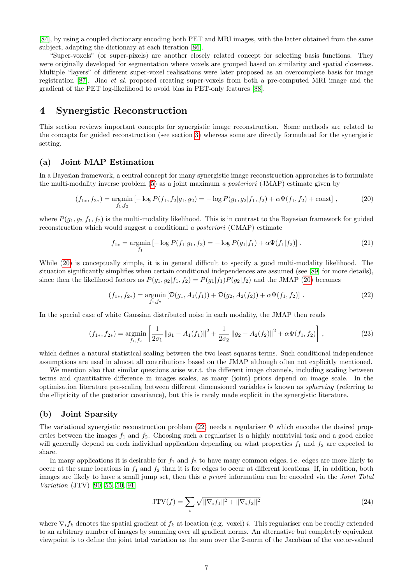[\[84\]](#page-15-3), by using a coupled dictionary encoding both PET and MRI images, with the latter obtained from the same subject, adapting the dictionary at each iteration [\[86\]](#page-15-5).

"Super-voxels" (or super-pixels) are another closely related concept for selecting basis functions. They were originally developed for segmentation where voxels are grouped based on similarity and spatial closeness. Multiple "layers" of different super-voxel realisations were later proposed as an overcomplete basis for image registration [\[87\]](#page-15-6). Jiao et al. proposed creating super-voxels from both a pre-computed MRI image and the gradient of the PET log-likelihood to avoid bias in PET-only features [\[88\]](#page-15-7).

## <span id="page-6-0"></span>4 Synergistic Reconstruction

This section reviews important concepts for synergistic image reconstruction. Some methods are related to the concepts for guided reconstruction (see section [3\)](#page-4-0) whereas some are directly formulated for the synergistic setting.

#### (a) Joint MAP Estimation

In a Bayesian framework, a central concept for many synergistic image reconstruction approaches is to formulate the multi-modality inverse problem [\(5\)](#page-2-4) as a joint maximum a posteriori (JMAP) estimate given by

<span id="page-6-1"></span>
$$
(f_{1*}, f_{2*}) = \underset{f_1, f_2}{\text{argmin}} \left[ -\log P(f_1, f_2 | g_1, g_2) = -\log P(g_1, g_2 | f_1, f_2) + \alpha \Psi(f_1, f_2) + \text{const} \right],\tag{20}
$$

where  $P(g_1, g_2|f_1, f_2)$  is the multi-modality likelihood. This is in contrast to the Bayesian framework for guided reconstruction which would suggest a conditional a posteriori (CMAP) estimate

$$
f_{1*} = \underset{f_1}{\text{argmin}} \left[ -\log P(f_1|g_1, f_2) = -\log P(g_1|f_1) + \alpha \Psi(f_1|f_2) \right]. \tag{21}
$$

While [\(20\)](#page-6-1) is conceptually simple, it is in general difficult to specify a good multi-modality likelihood. The situation significantly simplifies when certain conditional independences are assumed (see [\[89\]](#page-15-8) for more details), since then the likelihood factors as  $P(g_1, g_2|f_1, f_2) = P(g_1|f_1)P(g_2|f_2)$  and the JMAP [\(20\)](#page-6-1) becomes

<span id="page-6-2"></span>
$$
(f_{1*}, f_{2*}) = \underset{f_1, f_2}{\text{argmin}} \left[ \mathcal{D}(g_1, A_1(f_1)) + \mathcal{D}(g_2, A_2(f_2)) + \alpha \Psi(f_1, f_2) \right]. \tag{22}
$$

In the special case of white Gaussian distributed noise in each modality, the JMAP then reads

$$
(f_{1*}, f_{2*}) = \underset{f_1, f_2}{\text{argmin}} \left[ \frac{1}{2\sigma_1} \|g_1 - A_1(f_1)\|^2 + \frac{1}{2\sigma_2} \|g_2 - A_2(f_2)\|^2 + \alpha \Psi(f_1, f_2) \right],
$$
\n(23)

which defines a natural statistical scaling between the two least squares terms. Such conditional independence assumptions are used in almost all contributions based on the JMAP although often not explicitly mentioned.

We mention also that similar questions arise w.r.t. the different image channels, including scaling between terms and quantitative difference in images scales, as many (joint) priors depend on image scale. In the optimisation literature pre-scaling between different dimensioned variables is known as sphereing (referring to the ellipticity of the posterior covariance), but this is rarely made explicit in the synergistic literature.

#### (b) Joint Sparsity

The variational synergistic reconstruction problem [\(22\)](#page-6-2) needs a regulariser Ψ which encodes the desired properties between the images  $f_1$  and  $f_2$ . Choosing such a regulariser is a highly nontrivial task and a good choice will generally depend on each individual application depending on what properties  $f_1$  and  $f_2$  are expected to share.

In many applications it is desirable for  $f_1$  and  $f_2$  to have many common edges, i.e. edges are more likely to occur at the same locations in  $f_1$  and  $f_2$  than it is for edges to occur at different locations. If, in addition, both images are likely to have a small jump set, then this a priori information can be encoded via the *Joint Total* Variation (JTV) [\[90,](#page-15-9) [55,](#page-13-20) [50,](#page-13-15) [91\]](#page-15-10)

<span id="page-6-3"></span>
$$
JTV(f) = \sum_{i} \sqrt{\|\nabla_i f_1\|^2 + \|\nabla_i f_2\|^2}
$$
\n(24)

where  $\nabla_i f_k$  denotes the spatial gradient of  $f_k$  at location (e.g. voxel) i. This regulariser can be readily extended to an arbitrary number of images by summing over all gradient norms. An alternative but completely equivalent viewpoint is to define the joint total variation as the sum over the 2-norm of the Jacobian of the vector-valued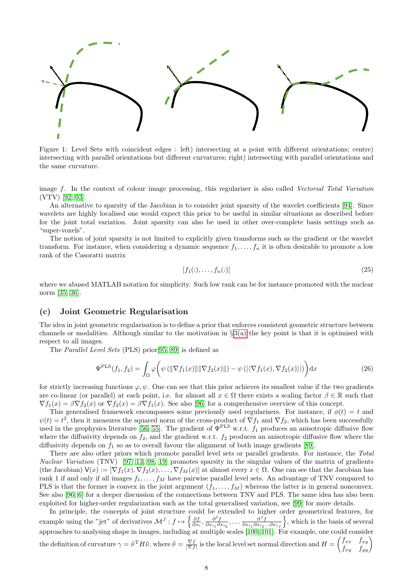<span id="page-7-0"></span>

Figure 1: Level Sets with coincident edges : left) intersecting at a point with different orientations; centre) intersecting with parallel orientations but different curvatures; right) intersecting with parallel orientations and the same curvature.

image f. In the context of colour image processing, this regulariser is also called Vectorial Total Variation (VTV) [\[92,](#page-15-11) [93\]](#page-15-12).

An alternative to sparsity of the Jacobian is to consider joint sparsity of the wavelet coefficients [\[94\]](#page-15-13). Since wavelets are highly localised one would expect this prior to be useful in similar situations as described before for the joint total variation. Joint sparsity can also be used in other over-complete basis settings such as "super-voxels".

The notion of joint sparsity is not limited to explicitly given transforms such as the gradient or the wavelet transform. For instance, when considering a dynamic sequence  $f_1, \ldots, f_n$  it is often desirable to promote a low rank of the Casoratti matrix

$$
[f_1(\cdot), \dots, f_n(\cdot)] \tag{25}
$$

where we abused MATLAB notation for simplicity. Such low rank can be for instance promoted with the nuclear norm [\[35,](#page-13-0) [36\]](#page-13-1).

#### (c) Joint Geometric Regularisation

The idea in joint geometric regularisation is to define a prior that enforces consistent geometric structure between channels or modalities. Although similar to the motivation in  $\S 3(a)$  $\S 3(a)$  the key point is that it is optimised with respect to all images.

The Parallel Level Sets (PLS) prior[\[95,](#page-15-14) [89\]](#page-15-8) is defined as

$$
\Psi^{\text{PLS}}(f_1, f_2) = \int_{\Omega} \varphi \bigg( \psi \left( \|\nabla f_1(x)\| \|\nabla f_2(x)\| \right) - \psi \left( \langle \nabla f_1(x), \nabla f_2(x) \rangle \right) \bigg) \mathrm{d}x \tag{26}
$$

for strictly increasing functions  $\varphi, \psi$ . One can see that this prior achieves its smallest value if the two gradients are co-linear (or parallel) at each point, i.e. for almost all  $x \in \Omega$  there exists a scaling factor  $\beta \in \mathbb{R}$  such that  $\nabla f_1(x) = \beta \nabla f_2(x)$  or  $\nabla f_2(x) = \beta \nabla f_1(x)$ . See also [\[96\]](#page-15-15) for a comprehensive overview of this concept.

This generalised framework encompasses some previously used regularisers. For instance, if  $\phi(t) = t$  and  $\psi(t) = t^2$ , then it measures the squared norm of the cross-product of  $\nabla f_1$  and  $\nabla f_2$ , which has been successfully used in the geophysics literature [\[56,](#page-13-21) [55\]](#page-13-20). The gradient of  $\Psi^{\text{PLS}}$  w.r.t.  $f_1$  produces an anisotropic diffusive flow where the diffusivity depends on  $f_2$ , and the gradient w.r.t.  $f_2$  produces an anisotropic diffusive flow where the diffusivity depends on  $f_1$  so as to overall favour the alignment of both image gradients [\[89\]](#page-15-8).

There are also other priors which promote parallel level sets or parallel gradients. For instance, the Total Nuclear Variation (TNV) [\[97,](#page-15-16) [13,](#page-12-0) [98,](#page-15-17) [19\]](#page-12-6) promotes sparsity in the singular values of the matrix of gradients (the Jacobian)  $\mathsf{V}(x) := [\nabla f_1(x), \nabla f_2(x), \ldots, \nabla f_M(x)]$  at almost every  $x \in \Omega$ . One can see that the Jacobian has rank 1 if and only if all images  $f_1, \ldots, f_M$  have pairwise parallel level sets. An advantage of TNV compared to PLS is that the former is convex in the joint argument  $(f_1, \ldots, f_M)$  whereas the latter is in general nonconvex. See also [\[96,](#page-15-15) [6\]](#page-11-5) for a deeper discussion of the connections between TNV and PLS. The same idea has also been exploited for higher-order regularization such as the total generalised variation, see [\[99\]](#page-15-18) for more details.

In principle, the concepts of joint structure could be extended to higher order geometrical features, for example using the "jet" of derivatives  $\mathcal{M}^J: f \mapsto \left\{ \frac{\partial f}{\partial x_i}, \frac{\partial^2 f}{\partial x_{i_1} \partial x_{i_2}}, \dots \frac{\partial^J f}{\partial x_{i_1} \partial x_{i_2} \dots \partial x_{i_J}} \right\}$  $\}$ , which is the basis of several approaches to analysing shape in images, including at multiple scales [\[100,](#page-15-19) [101\]](#page-15-20). For example, one could consider the definition of curvature  $\gamma = \hat{\nu}^T H \hat{\nu}$ , where  $\hat{\nu} = \frac{\nabla f}{|\nabla f|}$  is the local level set normal direction and  $H = \begin{pmatrix} f_{xx} & f_{xy} \\ f_{xy} & f_{yy} \end{pmatrix}$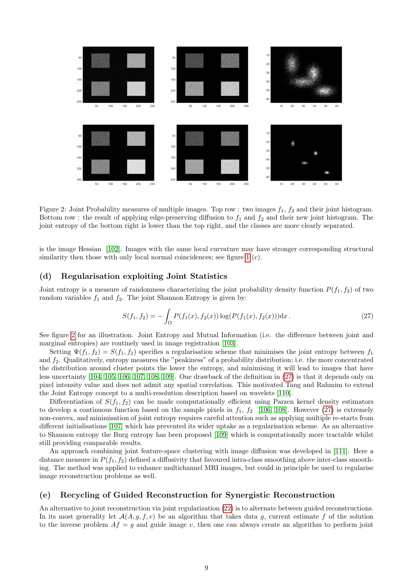<span id="page-8-0"></span>

Figure 2: Joint Probability measures of multiple images. Top row : two images  $f_1$ ,  $f_2$  and their joint histogram. Bottom row : the result of applying edge-preserving diffusion to  $f_1$  and  $f_2$  and their new joint histogram. The joint entropy of the bottom right is lower than the top right, and the classes are more clearly separated.

is the image Hessian [\[102\]](#page-16-0). Images with the same local curvature may have stronger corresponding structural similarity then those with only local normal coincidences; see figure [1](#page-7-0) (c).

#### (d) Regularisation exploiting Joint Statistics

Joint entropy is a measure of randomness characterizing the joint probability density function  $P(f_1, f_2)$  of two random variables  $f_1$  and  $f_2$ . The joint Shannon Entropy is given by:

<span id="page-8-1"></span>
$$
S(f_1, f_2) = -\int_{\Omega} P(f_1(x), f_2(x)) \log(P(f_1(x), f_2(x))) dx.
$$
 (27)

See figure [2](#page-8-0) for an illustration. Joint Entropy and Mutual Information (i.e. the difference between joint and marginal entropies) are routinely used in image registration [\[103\]](#page-16-1).

Setting  $\Psi(f_1, f_2) = S(f_1, f_2)$  specifies a regularisation scheme that minimises the joint entropy between  $f_1$ and  $f_2$ . Qualitatively, entropy measures the "peakiness" of a probability distribution; i.e. the more concentrated the distribution around cluster points the lower the entropy, and minimising it will lead to images that have less uncertainty [\[104,](#page-16-2) [105,](#page-16-3) [106,](#page-16-4) [107,](#page-16-5) [108,](#page-16-6) [109\]](#page-16-7). One drawback of the definition in [\(27\)](#page-8-1) is that it depends only on pixel intensity value and does not admit any spatial correlation. This motivated Tang and Rahmim to extend the Joint Entropy concept to a multi-resolution description based on wavelets [\[110\]](#page-16-8).

Differentiation of  $S(f_1, f_2)$  can be made computationally efficient using Parzen kernel density estimators to develop a continuous function based on the sample pixels in  $f_1$ ,  $f_2$  [\[106,](#page-16-4) [108\]](#page-16-6). However [\(27\)](#page-8-1) is extremely non-convex, and minimisation of joint entropy requires careful attention such as applying multiple re-starts from different initialisations [\[107\]](#page-16-5) which has prevented its wider uptake as a regularisation scheme. As an alternative to Shannon entropy the Burg entropy has been proposed [\[109\]](#page-16-7) which is computationally more tractable whilst still providing comparable results.

An approach combining joint feature-space clustering with image diffusion was developed in [\[111\]](#page-16-9). Here a distance measure in  $P(f_1, f_2)$  defined a diffusivity that favoured intra-class smoothing above inter-class smoothing. The method was applied to enhance multichannel MRI images, but could in principle be used to regularise image reconstruction problems as well.

#### (e) Recycling of Guided Reconstruction for Synergistic Reconstruction

An alternative to joint reconstruction via joint regularization [\(22\)](#page-6-2) is to alternate between guided reconstructions. In its most generality let  $\mathcal{A}(A, g, f, v)$  be an algorithm that takes data g, current estimate f of the solution to the inverse problem  $Af = g$  and guide image v, then one can always create an algorithm to perform joint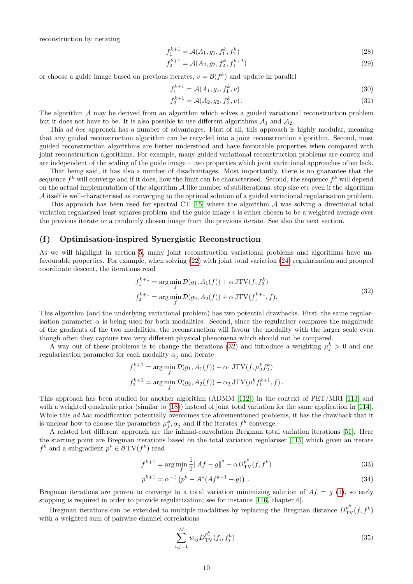reconstruction by iterating

$$
f_1^{k+1} = \mathcal{A}(A_1, g_1, f_1^k, f_2^k) \tag{28}
$$

$$
f_2^{k+1} = \mathcal{A}(A_2, g_2, f_2^k, f_1^{k+1})
$$
\n(29)

or choose a guide image based on previous iterates,  $v = \mathcal{B}(f^k)$  and update in parallel

$$
f_1^{k+1} = \mathcal{A}(A_1, g_1, f_1^k, v) \tag{30}
$$

$$
f_2^{k+1} = \mathcal{A}(A_2, g_2, f_2^k, v).
$$
 (31)

The algorithm  $A$  may be derived from an algorithm which solves a guided variational reconstruction problem but it does not have to be. It is also possible to use different algorithms  $A_1$  and  $A_2$ .

This ad hoc approach has a number of advantages. First of all, this approach is highly modular, meaning that any guided reconstruction algorithm can be recycled into a joint reconstruction algorithm. Second, most guided reconstruction algorithms are better understood and have favourable properties when compared with joint reconstruction algorithms. For example, many guided variational reconstruction problems are convex and are independent of the scaling of the guide image – two properties which joint variational approaches often lack.

That being said, it has also a number of disadvantages. Most importantly, there is no guarantee that the sequence  $f^k$  will converge and if it does, how the limit can be characterised. Second, the sequence  $f^k$  will depend on the actual implementation of the algorithm  $A$  like number of subiterations, step size etc even if the algorithm A itself is well-characterised as converging to the optimal solution of a guided variational regularisation problem.

This approach has been used for spectral CT [\[15\]](#page-12-2) where the algorithm  $\mathcal A$  was solving a directional total variation regularised least squares problem and the guide image v is either chosen to be a weighted average over the previous iterate or a randomly chosen image from the previous iterate. See also the next section.

#### (f) Optimisation-inspired Synergistic Reconstruction

As we will highlight in section [5,](#page-10-0) many joint reconstruction variational problems and algorithms have unfavourable properties. For example, when solving [\(22\)](#page-6-2) with joint total variation [\(24\)](#page-6-3) regularisation and grouped coordinate descent, the iterations read

<span id="page-9-0"></span>
$$
f_1^{k+1} = \arg\min_{f} \mathcal{D}(g_1, A_1(f)) + \alpha \operatorname{JTV}(f, f_2^k)
$$
  
\n
$$
f_2^{k+1} = \arg\min_{f} \mathcal{D}(g_2, A_2(f)) + \alpha \operatorname{JTV}(f_1^{k+1}, f).
$$
\n(32)

This algorithm (and the underlying variational problem) has two potential drawbacks. First, the same regularisation parameter  $\alpha$  is being used for both modalities. Second, since the regulariser compares the magnitude of the gradients of the two modalities, the reconstruction will favour the modality with the larger scale even though often they capture two very different physical phenomena which should not be compared.

A way out of these problems is to change the iterations [\(32\)](#page-9-0) and introduce a weighting  $\mu_j^k > 0$  and one regularization parameter for each modality  $\alpha_i$  and iterate

$$
f_1^{k+1} = \arg\min_f \mathcal{D}(g_1, A_1(f)) + \alpha_1 \text{JTV}(f, \mu_2^k f_2^k)
$$
  

$$
f_2^{k+1} = \arg\min_f \mathcal{D}(g_2, A_2(f)) + \alpha_2 \text{JTV}(\mu_1^k f_1^{k+1}, f).
$$

This approach has been studied for another algorithm (ADMM [\[112\]](#page-16-10)) in the context of PET/MRI [\[113\]](#page-16-11) and with a weighted quadratic prior (similar to [\(18\)](#page-5-2)) instead of joint total variation for the same application in [\[114\]](#page-16-12). While this *ad hoc* modification potentially overcomes the aforementioned problems, it has the drawback that it is unclear how to choose the parameters  $\mu_j^k$ ,  $\alpha_j$  and if the iterates  $f^k$  converge.

A related but different approach are the infimal-convolution Bregman total variation iterations [\[51\]](#page-13-16). Here the starting point are Bregman iterations based on the total variation regulariser [\[115\]](#page-16-13) which given an iterate  $f^k$  and a subgradient  $p^k \in \partial TV(f^k)$  read

$$
f^{k+1} = \arg\min_{f} \frac{1}{2} \|Af - g\|^2 + \alpha D_{\text{TV}}^{p^k}(f, f^k)
$$
\n(33)

$$
p^{k+1} = \alpha^{-1} \left( p^k - A^* (A f^{k+1} - g) \right) \,. \tag{34}
$$

Bregman iterations are proven to converge to a total variation minimizing solution of  $Af = g(1)$  $Af = g(1)$ , so early stopping is required in order to provide regularization; see for instance [\[116,](#page-16-14) chapter 6].

Bregman iterations can be extended to multiple modalities by replacing the Bregman distance  $D_{\text{TV}}^{p^k}(f, f^k)$ with a weighted sum of pairwise channel correlations

<span id="page-9-1"></span>
$$
\sum_{i,j=1}^{M} w_{ij} D_{\text{TV}}^{p_j^k}(f_i, f_j^k). \tag{35}
$$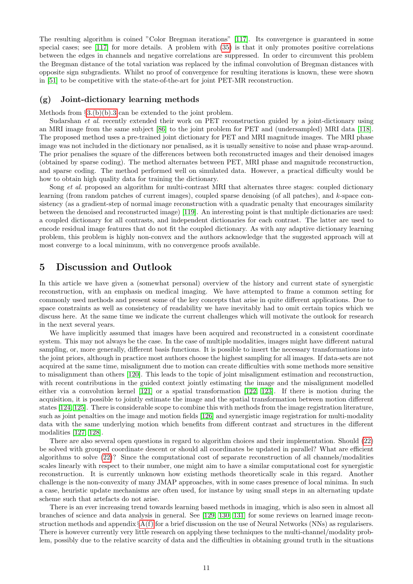The resulting algorithm is coined "Color Bregman iterations" [\[117\]](#page-16-15). Its convergence is guaranteed in some special cases; see [\[117\]](#page-16-15) for more details. A problem with [\(35\)](#page-9-1) is that it only promotes positive correlations between the edges in channels and negative correlations are suppressed. In order to circumvent this problem the Bregman distance of the total variation was replaced by the infimal convolution of Bregman distances with opposite sign subgradients. Whilst no proof of convergence for resulting iterations is known, these were shown in [\[51\]](#page-13-16) to be competitive with the state-of-the-art for joint PET-MR reconstruction.

#### (g) Joint-dictionary learning methods

Methods from  $\S3.(b)(b).3$  $\S3.(b)(b).3$  can be extended to the joint problem.

Sudarshan *et al.* recently extended their work on PET reconstruction guided by a joint-dictionary using an MRI image from the same subject [\[86\]](#page-15-5) to the joint problem for PET and (undersampled) MRI data [\[118\]](#page-16-16). The proposed method uses a pre-trained joint dictionary for PET and MRI magnitude images. The MRI phase image was not included in the dictionary nor penalised, as it is usually sensitive to noise and phase wrap-around. The prior penalises the square of the differences between both reconstructed images and their denoised images (obtained by sparse coding). The method alternates between PET, MRI phase and magnitude reconstruction, and sparse coding. The method performed well on simulated data. However, a practical difficulty would be how to obtain high quality data for training the dictionary.

Song *et al.* proposed an algorithm for multi-contrast MRI that alternates three stages: coupled dictionary learning (from random patches of current images), coupled sparse denoising (of all patches), and k-space consistency (as a gradient-step of normal image reconstruction with a quadratic penalty that encourages similarity between the denoised and reconstructed image) [\[119\]](#page-16-17). An interesting point is that multiple dictionaries are used: a coupled dictionary for all contrasts, and independent dictionaries for each contrast. The latter are used to encode residual image features that do not fit the coupled dictionary. As with any adaptive dictionary learning problem, this problem is highly non-convex and the authors acknowledge that the suggested approach will at most converge to a local minimum, with no convergence proofs available.

## <span id="page-10-0"></span>5 Discussion and Outlook

In this article we have given a (somewhat personal) overview of the history and current state of synergistic reconstruction, with an emphasis on medical imaging. We have attempted to frame a common setting for commonly used methods and present some of the key concepts that arise in quite different applications. Due to space constraints as well as consistency of readability we have inevitably had to omit certain topics which we discuss here. At the same time we indicate the current challenges which will motivate the outlook for research in the next several years.

We have implicitly assumed that images have been acquired and reconstructed in a consistent coordinate system. This may not always be the case. In the case of multiple modalities, images might have different natural sampling, or, more generally, different basis functions. It is possible to insert the necessary transformations into the joint priors, although in practice most authors choose the highest sampling for all images. If data-sets are not acquired at the same time, misalignment due to motion can create difficulties with some methods more sensitive to misalignment than others [\[120\]](#page-16-18). This leads to the topic of joint misalignment estimation and reconstruction, with recent contributions in the guided context jointly estimating the image and the misalignment modelled either via a convolution kernel [\[121\]](#page-16-19) or a spatial transformation [\[122,](#page-16-20) [123\]](#page-16-21). If there is motion during the acquisition, it is possible to jointly estimate the image and the spatial transformation between motion different states [\[124,](#page-17-0) [125\]](#page-17-1). There is considerable scope to combine this with methods from the image registration literature, such as joint penalties on the image and motion fields [\[126\]](#page-17-2) and synergistic image registration for multi-modality data with the same underlying motion which benefits from different contrast and structures in the different modalities [\[127,](#page-17-3) [128\]](#page-17-4).

There are also several open questions in regard to algorithm choices and their implementation. Should [\(22\)](#page-6-2) be solved with grouped coordinate descent or should all coordinates be updated in parallel? What are efficient algorithms to solve [\(22\)](#page-6-2)? Since the computational cost of separate reconstruction of all channels/modalities scales linearly with respect to their number, one might aim to have a similar computational cost for synergistic reconstruction. It is currently unknown how existing methods theoretically scale in this regard. Another challenge is the non-convexity of many JMAP approaches, with in some cases presence of local minima. In such a case, heuristic update mechanisms are often used, for instance by using small steps in an alternating update scheme such that artefacts do not arise.

There is an ever increasing trend towards learning based methods in imaging, which is also seen in almost all branches of science and data analysis in general. See [\[129,](#page-17-5) [130,](#page-17-6) [131\]](#page-17-7) for some reviews on learned image reconstruction methods and appendix  $\S A(f)$  $\S A(f)$  for a brief discussion on the use of Neural Networks (NNs) as regularisers. There is however currently very little research on applying these techniques to the multi-channel/modality problem, possibly due to the relative scarcity of data and the difficulties in obtaining ground truth in the situations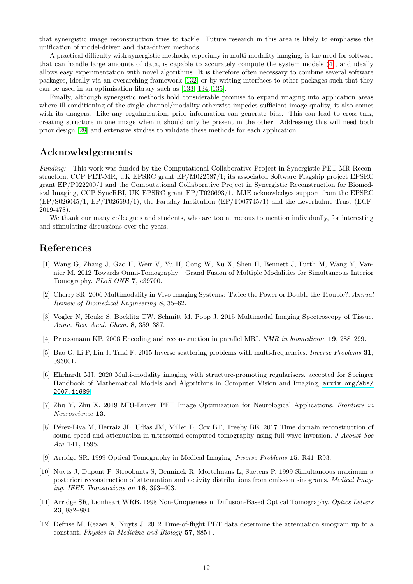that synergistic image reconstruction tries to tackle. Future research in this area is likely to emphasise the unification of model-driven and data-driven methods.

A practical difficulty with synergistic methods, especially in multi-modality imaging, is the need for software that can handle large amounts of data, is capable to accurately compute the system models [\(4\)](#page-2-5), and ideally allows easy experimentation with novel algorithms. It is therefore often necessary to combine several software packages, ideally via an overarching framework [\[132\]](#page-17-8) or by writing interfaces to other packages such that they can be used in an optimisation library such as [\[133,](#page-17-9) [134,](#page-17-10) [135\]](#page-17-11).

Finally, although synergistic methods hold considerable promise to expand imaging into application areas where ill-conditioning of the single channel/modality otherwise impedes sufficient image quality, it also comes with its dangers. Like any regularisation, prior information can generate bias. This can lead to cross-talk, creating structure in one image when it should only be present in the other. Addressing this will need both prior design [\[28\]](#page-12-15) and extensive studies to validate these methods for each application.

## Acknowledgements

Funding: This work was funded by the Computational Collaborative Project in Synergistic PET-MR Reconstruction, CCP PET-MR, UK EPSRC grant EP/M022587/1; its associated Software Flagship project EPSRC grant EP/P022200/1 and the Computational Collaborative Project in Synergistic Reconstruction for Biomedical Imaging, CCP SyneRBI, UK EPSRC grant EP/T026693/1. MJE acknowledges support from the EPSRC (EP/S026045/1, EP/T026693/1), the Faraday Institution (EP/T007745/1) and the Leverhulme Trust (ECF-2019-478).

We thank our many colleagues and students, who are too numerous to mention individually, for interesting and stimulating discussions over the years.

## References

- <span id="page-11-0"></span>[1] Wang G, Zhang J, Gao H, Weir V, Yu H, Cong W, Xu X, Shen H, Bennett J, Furth M, Wang Y, Vannier M. 2012 Towards Omni-Tomography—Grand Fusion of Multiple Modalities for Simultaneous Interior Tomography. PLoS ONE 7, e39700.
- <span id="page-11-1"></span>[2] Cherry SR. 2006 Multimodality in Vivo Imaging Systems: Twice the Power or Double the Trouble?. Annual Review of Biomedical Engineering 8, 35–62.
- <span id="page-11-2"></span>[3] Vogler N, Heuke S, Bocklitz TW, Schmitt M, Popp J. 2015 Multimodal Imaging Spectroscopy of Tissue. Annu. Rev. Anal. Chem. 8, 359–387.
- <span id="page-11-3"></span>[4] Pruessmann KP. 2006 Encoding and reconstruction in parallel MRI. NMR in biomedicine 19, 288–299.
- <span id="page-11-4"></span>[5] Bao G, Li P, Lin J, Triki F. 2015 Inverse scattering problems with multi-frequencies. Inverse Problems 31, 093001.
- <span id="page-11-5"></span>[6] Ehrhardt MJ. 2020 Multi-modality imaging with structure-promoting regularisers. accepted for Springer Handbook of Mathematical Models and Algorithms in Computer Vision and Imaging,  $arxiv.org/abs/$ [2007.11689](arxiv.org/abs/2007.11689).
- <span id="page-11-6"></span>[7] Zhu Y, Zhu X. 2019 MRI-Driven PET Image Optimization for Neurological Applications. Frontiers in Neuroscience 13.
- <span id="page-11-7"></span>[8] Pérez-Liva M, Herraiz JL, Udías JM, Miller E, Cox BT, Treeby BE. 2017 Time domain reconstruction of sound speed and attenuation in ultrasound computed tomography using full wave inversion. J Acoust Soc Am 141, 1595.
- <span id="page-11-8"></span>[9] Arridge SR. 1999 Optical Tomography in Medical Imaging. Inverse Problems 15, R41–R93.
- <span id="page-11-9"></span>[10] Nuyts J, Dupont P, Stroobants S, Benninck R, Mortelmans L, Suetens P. 1999 Simultaneous maximum a posteriori reconstruction of attenuation and activity distributions from emission sinograms. Medical Imaging, IEEE Transactions on 18, 393–403.
- <span id="page-11-10"></span>[11] Arridge SR, Lionheart WRB. 1998 Non-Uniqueness in Diffusion-Based Optical Tomography. Optics Letters 23, 882–884.
- <span id="page-11-11"></span>[12] Defrise M, Rezaei A, Nuyts J. 2012 Time-of-flight PET data determine the attenuation sinogram up to a constant. Physics in Medicine and Biology 57, 885+.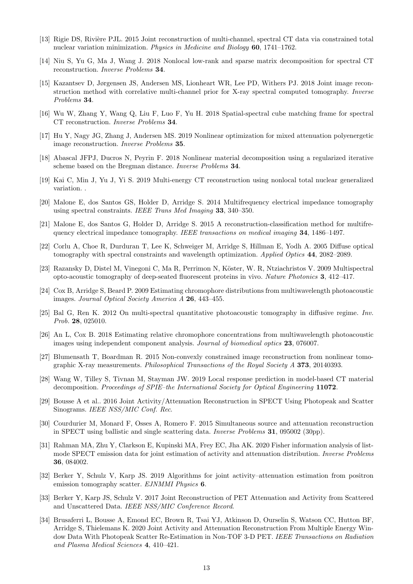- <span id="page-12-0"></span>[13] Rigie DS, Rivière PJL. 2015 Joint reconstruction of multi-channel, spectral CT data via constrained total nuclear variation minimization. Physics in Medicine and Biology 60, 1741–1762.
- <span id="page-12-1"></span>[14] Niu S, Yu G, Ma J, Wang J. 2018 Nonlocal low-rank and sparse matrix decomposition for spectral CT reconstruction. Inverse Problems 34.
- <span id="page-12-2"></span>[15] Kazantsev D, Jørgensen JS, Andersen MS, Lionheart WR, Lee PD, Withers PJ. 2018 Joint image reconstruction method with correlative multi-channel prior for X-ray spectral computed tomography. Inverse Problems 34.
- <span id="page-12-3"></span>[16] Wu W, Zhang Y, Wang Q, Liu F, Luo F, Yu H. 2018 Spatial-spectral cube matching frame for spectral CT reconstruction. Inverse Problems 34.
- <span id="page-12-4"></span>[17] Hu Y, Nagy JG, Zhang J, Andersen MS. 2019 Nonlinear optimization for mixed attenuation polyenergetic image reconstruction. Inverse Problems 35.
- <span id="page-12-5"></span>[18] Abascal JFPJ, Ducros N, Peyrin F. 2018 Nonlinear material decomposition using a regularized iterative scheme based on the Bregman distance. Inverse Problems 34.
- <span id="page-12-6"></span>[19] Kai C, Min J, Yu J, Yi S. 2019 Multi-energy CT reconstruction using nonlocal total nuclear generalized variation. .
- <span id="page-12-7"></span>[20] Malone E, dos Santos GS, Holder D, Arridge S. 2014 Multifrequency electrical impedance tomography using spectral constraints. IEEE Trans Med Imaging 33, 340–350.
- <span id="page-12-8"></span>[21] Malone E, dos Santos G, Holder D, Arridge S. 2015 A reconstruction-classification method for multifrequency electrical impedance tomography. IEEE transactions on medical imaging 34, 1486–1497.
- <span id="page-12-9"></span>[22] Corlu A, Choe R, Durduran T, Lee K, Schweiger M, Arridge S, Hillman E, Yodh A. 2005 Diffuse optical tomography with spectral constraints and wavelength optimization. Applied Optics 44, 2082–2089.
- <span id="page-12-10"></span>[23] Razansky D, Distel M, Vinegoni C, Ma R, Perrimon N, Köster, W. R, Ntziachristos V. 2009 Multispectral opto-acoustic tomography of deep-seated fluorescent proteins in vivo. Nature Photonics 3, 412–417.
- <span id="page-12-11"></span>[24] Cox B, Arridge S, Beard P. 2009 Estimating chromophore distributions from multiwavelength photoacoustic images. Journal Optical Society America A 26, 443–455.
- <span id="page-12-12"></span>[25] Bal G, Ren K. 2012 On multi-spectral quantitative photoacoustic tomography in diffusive regime. Inv. Prob. 28, 025010.
- <span id="page-12-13"></span>[26] An L, Cox B. 2018 Estimating relative chromophore concentrations from multiwavelength photoacoustic images using independent component analysis. Journal of biomedical optics 23, 076007.
- <span id="page-12-14"></span>[27] Blumensath T, Boardman R. 2015 Non-convexly constrained image reconstruction from nonlinear tomographic X-ray measurements. Philosophical Transactions of the Royal Society A 373, 20140393.
- <span id="page-12-15"></span>[28] Wang W, Tilley S, Tivnan M, Stayman JW. 2019 Local response prediction in model-based CT material decomposition. Proceedings of SPIE–the International Society for Optical Engineering 11072.
- <span id="page-12-16"></span>[29] Bousse A et al.. 2016 Joint Activity/Attenuation Reconstruction in SPECT Using Photopeak and Scatter Sinograms. IEEE NSS/MIC Conf. Rec.
- <span id="page-12-17"></span>[30] Courdurier M, Monard F, Osses A, Romero F. 2015 Simultaneous source and attenuation reconstruction in SPECT using ballistic and single scattering data. Inverse Problems 31, 095002 (30pp).
- <span id="page-12-18"></span>[31] Rahman MA, Zhu Y, Clarkson E, Kupinski MA, Frey EC, Jha AK. 2020 Fisher information analysis of listmode SPECT emission data for joint estimation of activity and attenuation distribution. Inverse Problems 36, 084002.
- <span id="page-12-19"></span>[32] Berker Y, Schulz V, Karp JS. 2019 Algorithms for joint activity–attenuation estimation from positron emission tomography scatter. EJNMMI Physics 6.
- <span id="page-12-20"></span>[33] Berker Y, Karp JS, Schulz V. 2017 Joint Reconstruction of PET Attenuation and Activity from Scattered and Unscattered Data. IEEE NSS/MIC Conference Record.
- <span id="page-12-21"></span>[34] Brusaferri L, Bousse A, Emond EC, Brown R, Tsai YJ, Atkinson D, Ourselin S, Watson CC, Hutton BF, Arridge S, Thielemans K. 2020 Joint Activity and Attenuation Reconstruction From Multiple Energy Window Data With Photopeak Scatter Re-Estimation in Non-TOF 3-D PET. IEEE Transactions on Radiation and Plasma Medical Sciences 4, 410–421.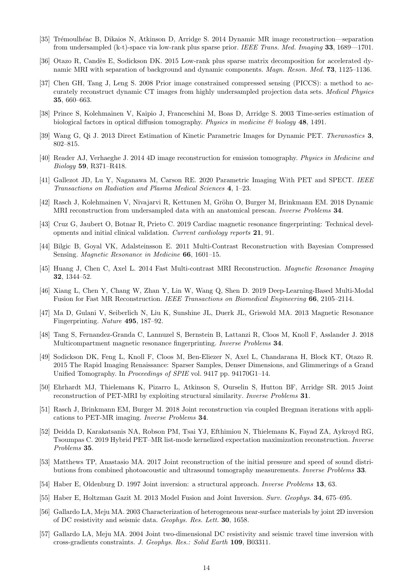- <span id="page-13-0"></span>[35] Tr´emoulh´eac B, Dikaios N, Atkinson D, Arridge S. 2014 Dynamic MR image reconstruction—separation from undersampled (k-t)-space via low-rank plus sparse prior. IEEE Trans. Med. Imaging 33, 1689––1701.
- <span id="page-13-1"></span>[36] Otazo R, Candès E, Sodickson DK. 2015 Low-rank plus sparse matrix decomposition for accelerated dynamic MRI with separation of background and dynamic components. *Magn. Reson. Med.* **73**, 1125–1136.
- <span id="page-13-2"></span>[37] Chen GH, Tang J, Leng S. 2008 Prior image constrained compressed sensing (PICCS): a method to accurately reconstruct dynamic CT images from highly undersampled projection data sets. Medical Physics 35, 660–663.
- <span id="page-13-3"></span>[38] Prince S, Kolehmainen V, Kaipio J, Franceschini M, Boas D, Arridge S. 2003 Time-series estimation of biological factors in optical diffusion tomography. Physics in medicine  $\mathcal B$  biology 48, 1491.
- <span id="page-13-4"></span>[39] Wang G, Qi J. 2013 Direct Estimation of Kinetic Parametric Images for Dynamic PET. Theranostics 3, 802–815.
- <span id="page-13-5"></span>[40] Reader AJ, Verhaeghe J. 2014 4D image reconstruction for emission tomography. Physics in Medicine and Biology 59, R371–R418.
- <span id="page-13-6"></span>[41] Gallezot JD, Lu Y, Naganawa M, Carson RE. 2020 Parametric Imaging With PET and SPECT. IEEE Transactions on Radiation and Plasma Medical Sciences 4, 1–23.
- <span id="page-13-7"></span>[42] Rasch J, Kolehmainen V, Nivajarvi R, Kettunen M, Gröhn O, Burger M, Brinkmann EM. 2018 Dynamic MRI reconstruction from undersampled data with an anatomical prescan. Inverse Problems 34.
- <span id="page-13-8"></span>[43] Cruz G, Jaubert O, Botnar R, Prieto C. 2019 Cardiac magnetic resonance fingerprinting: Technical developments and initial clinical validation. Current cardiology reports 21, 91.
- <span id="page-13-9"></span>[44] Bilgic B, Goyal VK, Adalsteinsson E. 2011 Multi-Contrast Reconstruction with Bayesian Compressed Sensing. Magnetic Resonance in Medicine 66, 1601–15.
- <span id="page-13-10"></span>[45] Huang J, Chen C, Axel L. 2014 Fast Multi-contrast MRI Reconstruction. Magnetic Resonance Imaging 32, 1344–52.
- <span id="page-13-11"></span>[46] Xiang L, Chen Y, Chang W, Zhan Y, Lin W, Wang Q, Shen D. 2019 Deep-Learning-Based Multi-Modal Fusion for Fast MR Reconstruction. IEEE Transactions on Biomedical Engineering 66, 2105–2114.
- <span id="page-13-12"></span>[47] Ma D, Gulani V, Seiberlich N, Liu K, Sunshine JL, Duerk JL, Griswold MA. 2013 Magnetic Resonance Fingerprinting. Nature 495, 187–92.
- <span id="page-13-13"></span>[48] Tang S, Fernandez-Granda C, Lannuzel S, Bernstein B, Lattanzi R, Cloos M, Knoll F, Asslander J. 2018 Multicompartment magnetic resonance fingerprinting. Inverse Problems 34.
- <span id="page-13-14"></span>[49] Sodickson DK, Feng L, Knoll F, Cloos M, Ben-Eliezer N, Axel L, Chandarana H, Block KT, Otazo R. 2015 The Rapid Imaging Renaissance: Sparser Samples, Denser Dimensions, and Glimmerings of a Grand Unified Tomography. In Proceedings of SPIE vol. 9417 pp. 94170G1–14.
- <span id="page-13-15"></span>[50] Ehrhardt MJ, Thielemans K, Pizarro L, Atkinson S, Ourselin S, Hutton BF, Arridge SR. 2015 Joint reconstruction of PET-MRI by exploiting structural similarity. Inverse Problems 31.
- <span id="page-13-16"></span>[51] Rasch J, Brinkmann EM, Burger M. 2018 Joint reconstruction via coupled Bregman iterations with applications to PET-MR imaging. Inverse Problems 34.
- <span id="page-13-17"></span>[52] Deidda D, Karakatsanis NA, Robson PM, Tsai YJ, Efthimiou N, Thielemans K, Fayad ZA, Aykroyd RG, Tsoumpas C. 2019 Hybrid PET–MR list-mode kernelized expectation maximization reconstruction. Inverse Problems 35.
- <span id="page-13-18"></span>[53] Matthews TP, Anastasio MA. 2017 Joint reconstruction of the initial pressure and speed of sound distributions from combined photoacoustic and ultrasound tomography measurements. Inverse Problems 33.
- <span id="page-13-19"></span>[54] Haber E, Oldenburg D. 1997 Joint inversion: a structural approach. Inverse Problems 13, 63.
- <span id="page-13-20"></span>[55] Haber E, Holtzman Gazit M. 2013 Model Fusion and Joint Inversion. Surv. Geophys. 34, 675–695.
- <span id="page-13-21"></span>[56] Gallardo LA, Meju MA. 2003 Characterization of heterogeneous near-surface materials by joint 2D inversion of DC resistivity and seismic data. Geophys. Res. Lett. 30, 1658.
- <span id="page-13-22"></span>[57] Gallardo LA, Meju MA. 2004 Joint two-dimensional DC resistivity and seismic travel time inversion with cross-gradients constraints. J. Geophys. Res.: Solid Earth 109, B03311.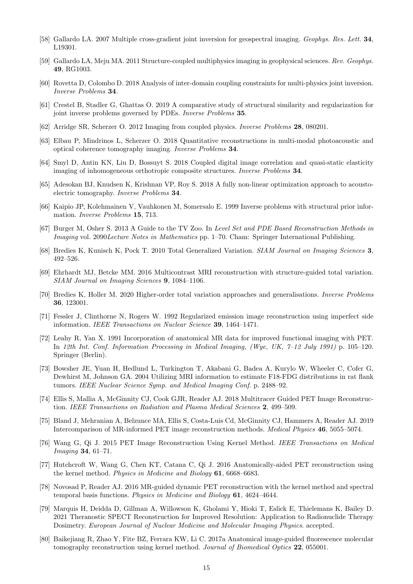- <span id="page-14-0"></span>[58] Gallardo LA. 2007 Multiple cross-gradient joint inversion for geospectral imaging. Geophys. Res. Lett. 34, L19301.
- <span id="page-14-1"></span>[59] Gallardo LA, Meju MA. 2011 Structure-coupled multiphysics imaging in geophysical sciences. Rev. Geophys. 49, RG1003.
- <span id="page-14-2"></span>[60] Rovetta D, Colombo D. 2018 Analysis of inter-domain coupling constraints for multi-physics joint inversion. Inverse Problems 34.
- <span id="page-14-3"></span>[61] Crestel B, Stadler G, Ghattas O. 2019 A comparative study of structural similarity and regularization for joint inverse problems governed by PDEs. Inverse Problems 35.
- <span id="page-14-4"></span>[62] Arridge SR, Scherzer O. 2012 Imaging from coupled physics. Inverse Problems 28, 080201.
- <span id="page-14-5"></span>[63] Elbau P, Mindrinos L, Scherzer O. 2018 Quantitative reconstructions in multi-modal photoacoustic and optical coherence tomography imaging. Inverse Problems 34.
- <span id="page-14-6"></span>[64] Smyl D, Antin KN, Liu D, Bossuyt S. 2018 Coupled digital image correlation and quasi-static elasticity imaging of inhomogeneous orthotropic composite structures. Inverse Problems 34.
- <span id="page-14-7"></span>[65] Adesokan BJ, Knudsen K, Krishnan VP, Roy S. 2018 A fully non-linear optimization approach to acoustoelectric tomography. Inverse Problems 34.
- <span id="page-14-8"></span>[66] Kaipio JP, Kolehmainen V, Vauhkonen M, Somersalo E. 1999 Inverse problems with structural prior information. Inverse Problems 15, 713.
- <span id="page-14-9"></span>[67] Burger M, Osher S. 2013 A Guide to the TV Zoo. In Level Set and PDE Based Reconstruction Methods in Imaging vol. 2090Lecture Notes in Mathematics pp. 1–70. Cham: Springer International Publishing.
- <span id="page-14-10"></span>[68] Bredies K, Kunisch K, Pock T. 2010 Total Generalized Variation. SIAM Journal on Imaging Sciences 3, 492–526.
- <span id="page-14-11"></span>[69] Ehrhardt MJ, Betcke MM. 2016 Multicontrast MRI reconstruction with structure-guided total variation. SIAM Journal on Imaging Sciences 9, 1084–1106.
- <span id="page-14-12"></span>[70] Bredies K, Holler M. 2020 Higher-order total variation approaches and generalisations. Inverse Problems 36, 123001.
- <span id="page-14-13"></span>[71] Fessler J, Clinthorne N, Rogers W. 1992 Regularized emission image reconstruction using imperfect side information. IEEE Transactions on Nuclear Science 39, 1464–1471.
- <span id="page-14-14"></span>[72] Leahy R, Yan X. 1991 Incorporation of anatomical MR data for improved functional imaging with PET. In 12th Int. Conf. Information Processing in Medical Imaging, (Wye, UK, 7–12 July 1991) p. 105–120. Springer (Berlin).
- <span id="page-14-15"></span>[73] Bowsher JE, Yuan H, Hedlund L, Turkington T, Akabani G, Badea A, Kurylo W, Wheeler C, Cofer G, Dewhirst M, Johnson GA. 2004 Utilizing MRI information to estimate F18-FDG distributions in rat flank tumors. IEEE Nuclear Science Symp. and Medical Imaging Conf. p. 2488–92.
- <span id="page-14-16"></span>[74] Ellis S, Mallia A, McGinnity CJ, Cook GJR, Reader AJ. 2018 Multitracer Guided PET Image Reconstruction. IEEE Transactions on Radiation and Plasma Medical Sciences 2, 499–509.
- <span id="page-14-17"></span>[75] Bland J, Mehranian A, Belzunce MA, Ellis S, Costa-Luis Cd, McGinnity CJ, Hammers A, Reader AJ. 2019 Intercomparison of MR-informed PET image reconstruction methods. Medical Physics 46, 5055–5074.
- <span id="page-14-18"></span>[76] Wang G, Qi J. 2015 PET Image Reconstruction Using Kernel Method. IEEE Transactions on Medical Imaging 34, 61–71.
- <span id="page-14-19"></span>[77] Hutchcroft W, Wang G, Chen KT, Catana C, Qi J. 2016 Anatomically-aided PET reconstruction using the kernel method. Physics in Medicine and Biology 61, 6668–6683.
- <span id="page-14-20"></span>[78] Novosad P, Reader AJ. 2016 MR-guided dynamic PET reconstruction with the kernel method and spectral temporal basis functions. Physics in Medicine and Biology 61, 4624–4644.
- <span id="page-14-21"></span>[79] Marquis H, Deidda D, Gillman A, Willowson K, Gholami Y, Hioki T, Eslick E, Thielemans K, Bailey D. 2021 Theranostic SPECT Reconstruction for Improved Resolution: Application to Radionuclide Therapy Dosimetry. European Journal of Nuclear Medicine and Molecular Imaging Physics. accepted.
- <span id="page-14-22"></span>[80] Baikejiang R, Zhao Y, Fite BZ, Ferrara KW, Li C. 2017a Anatomical image-guided fluorescence molecular tomography reconstruction using kernel method. Journal of Biomedical Optics 22, 055001.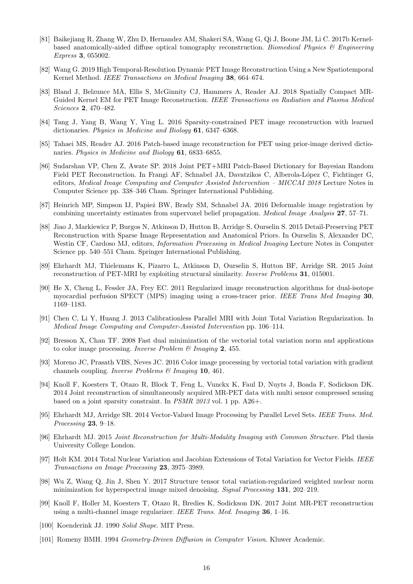- <span id="page-15-0"></span>[81] Baikejiang R, Zhang W, Zhu D, Hernandez AM, Shakeri SA, Wang G, Qi J, Boone JM, Li C. 2017b Kernelbased anatomically-aided diffuse optical tomography reconstruction. Biomedical Physics & Engineering Express 3, 055002.
- <span id="page-15-1"></span>[82] Wang G. 2019 High Temporal-Resolution Dynamic PET Image Reconstruction Using a New Spatiotemporal Kernel Method. IEEE Transactions on Medical Imaging 38, 664–674.
- <span id="page-15-2"></span>[83] Bland J, Belzunce MA, Ellis S, McGinnity CJ, Hammers A, Reader AJ. 2018 Spatially Compact MR-Guided Kernel EM for PET Image Reconstruction. IEEE Transactions on Radiation and Plasma Medical Sciences 2, 470–482.
- <span id="page-15-3"></span>[84] Tang J, Yang B, Wang Y, Ying L. 2016 Sparsity-constrained PET image reconstruction with learned dictionaries. Physics in Medicine and Biology 61, 6347–6368.
- <span id="page-15-4"></span>[85] Tahaei MS, Reader AJ. 2016 Patch-based image reconstruction for PET using prior-image derived dictionaries. Physics in Medicine and Biology 61, 6833–6855.
- <span id="page-15-5"></span>[86] Sudarshan VP, Chen Z, Awate SP. 2018 Joint PET+MRI Patch-Based Dictionary for Bayesian Random Field PET Reconstruction. In Frangi AF, Schnabel JA, Davatzikos C, Alberola-López C, Fichtinger G, editors, Medical Image Computing and Computer Assisted Intervention – MICCAI 2018 Lecture Notes in Computer Science pp. 338–346 Cham. Springer International Publishing.
- <span id="page-15-6"></span>[87] Heinrich MP, Simpson IJ, Papież BW, Brady SM, Schnabel JA. 2016 Deformable image registration by combining uncertainty estimates from supervoxel belief propagation. Medical Image Analysis 27, 57–71.
- <span id="page-15-7"></span>[88] Jiao J, Markiewicz P, Burgos N, Atkinson D, Hutton B, Arridge S, Ourselin S. 2015 Detail-Preserving PET Reconstruction with Sparse Image Representation and Anatomical Priors. In Ourselin S, Alexander DC, Westin CF, Cardoso MJ, editors, *Information Processing in Medical Imaging* Lecture Notes in Computer Science pp. 540–551 Cham. Springer International Publishing.
- <span id="page-15-8"></span>[89] Ehrhardt MJ, Thielemans K, Pizarro L, Atkinson D, Ourselin S, Hutton BF, Arridge SR. 2015 Joint reconstruction of PET-MRI by exploiting structural similarity. Inverse Problems 31, 015001.
- <span id="page-15-9"></span>[90] He X, Cheng L, Fessler JA, Frey EC. 2011 Regularized image reconstruction algorithms for dual-isotope myocardial perfusion SPECT (MPS) imaging using a cross-tracer prior. IEEE Trans Med Imaging 30, 1169–1183.
- <span id="page-15-10"></span>[91] Chen C, Li Y, Huang J. 2013 Calibrationless Parallel MRI with Joint Total Variation Regularization. In Medical Image Computing and Computer-Assisted Intervention pp. 106–114.
- <span id="page-15-11"></span>[92] Bresson X, Chan TF. 2008 Fast dual minimization of the vectorial total variation norm and applications to color image processing. *Inverse Problem & Imaging* 2, 455.
- <span id="page-15-12"></span>[93] Moreno JC, Prasath VBS, Neves JC. 2016 Color image processing by vectorial total variation with gradient channels coupling. Inverse Problems & Imaging 10, 461.
- <span id="page-15-13"></span>[94] Knoll F, Koesters T, Otazo R, Block T, Feng L, Vunckx K, Faul D, Nuyts J, Boada F, Sodickson DK. 2014 Joint reconstruction of simultaneously acquired MR-PET data with multi sensor compressed sensing based on a joint sparsity constraint. In PSMR 2013 vol. 1 pp. A26+.
- <span id="page-15-14"></span>[95] Ehrhardt MJ, Arridge SR. 2014 Vector-Valued Image Processing by Parallel Level Sets. IEEE Trans. Med. Processing 23, 9–18.
- <span id="page-15-15"></span>[96] Ehrhardt MJ. 2015 Joint Reconstruction for Multi-Modality Imaging with Common Structure. Phd thesis University College London.
- <span id="page-15-16"></span>[97] Holt KM. 2014 Total Nuclear Variation and Jacobian Extensions of Total Variation for Vector Fields. IEEE Transactions on Image Processing 23, 3975–3989.
- <span id="page-15-17"></span>[98] Wu Z, Wang Q, Jin J, Shen Y. 2017 Structure tensor total variation-regularized weighted nuclear norm minimization for hyperspectral image mixed denoising. Signal Processing 131, 202–219.
- <span id="page-15-18"></span>[99] Knoll F, Holler M, Koesters T, Otazo R, Bredies K, Sodickson DK. 2017 Joint MR-PET reconstruction using a multi-channel image regularizer. IEEE Trans. Med. Imaging 36, 1–16.
- <span id="page-15-19"></span>[100] Koenderink JJ. 1990 Solid Shape. MIT Press.
- <span id="page-15-20"></span>[101] Romeny BMH. 1994 Geometry-Driven Diffusion in Computer Vision. Kluwer Academic.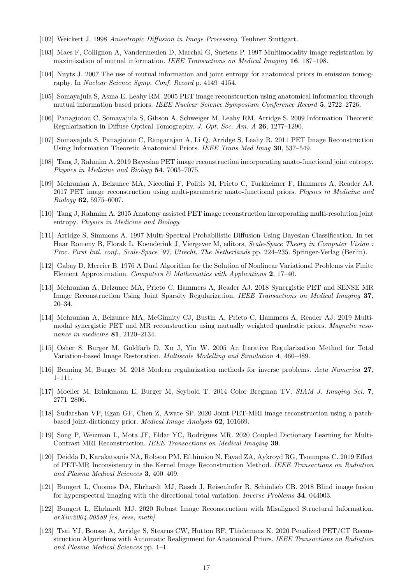- <span id="page-16-0"></span>[102] Weickert J. 1998 Anisotropic Diffusion in Image Processing. Teubner Stuttgart.
- <span id="page-16-1"></span>[103] Maes F, Collignon A, Vandermeulen D, Marchal G, Suetens P. 1997 Multimodality image registration by maximization of mutual information. IEEE Transactions on Medical Imaging 16, 187–198.
- <span id="page-16-2"></span>[104] Nuyts J. 2007 The use of mutual information and joint entropy for anatomical priors in emission tomography. In Nuclear Science Symp. Conf. Record p. 4149–4154.
- <span id="page-16-3"></span>[105] Somayajula S, Asma E, Leahy RM. 2005 PET image reconstruction using anatomical information through mutual information based priors. IEEE Nuclear Science Symposium Conference Record 5, 2722–2726.
- <span id="page-16-4"></span>[106] Panagiotou C, Somayajula S, Gibson A, Schweiger M, Leahy RM, Arridge S. 2009 Information Theoretic Regularization in Diffuse Optical Tomography. J. Opt. Soc. Am. A 26, 1277–1290.
- <span id="page-16-5"></span>[107] Somayajula S, Panagiotou C, Rangarajan A, Li Q, Arridge S, Leahy R. 2011 PET Image Reconstruction Using Information Theoretic Anatomical Priors. IEEE Trans Med Imag 30, 537–549.
- <span id="page-16-6"></span>[108] Tang J, Rahmim A. 2019 Bayesian PET image reconstruction incorporating anato-functional joint entropy. Physics in Medicine and Biology 54, 7063–7075.
- <span id="page-16-7"></span>[109] Mehranian A, Belzunce MA, Niccolini F, Politis M, Prieto C, Turkheimer F, Hammers A, Reader AJ. 2017 PET image reconstruction using multi-parametric anato-functional priors. Physics in Medicine and Biology 62, 5975–6007.
- <span id="page-16-8"></span>[110] Tang J, Rahmim A. 2015 Anatomy assisted PET image reconstruction incorporating multi-resolution joint entropy. Physics in Medicine and Biology.
- <span id="page-16-9"></span>[111] Arridge S, Simmons A. 1997 Multi-Spectral Probabilistic Diffusion Using Bayesian Classification. In ter Haar Romeny B, Florak L, Koenderink J, Viergever M, editors, Scale-Space Theory in Computer Vision : Proc. First Intl. conf., Scale-Space '97, Utrecht, The Netherlands pp. 224–235. Springer-Verlag (Berlin).
- <span id="page-16-10"></span>[112] Gabay D, Mercier B. 1976 A Dual Algorithm for the Solution of Nonlinear Variational Problems via Finite Element Approximation. Computers  $\mathcal{C}$  Mathematics with Applications 2, 17–40.
- <span id="page-16-11"></span>[113] Mehranian A, Belzunce MA, Prieto C, Hammers A, Reader AJ. 2018 Synergistic PET and SENSE MR Image Reconstruction Using Joint Sparsity Regularization. IEEE Transactions on Medical Imaging 37, 20–34.
- <span id="page-16-12"></span>[114] Mehranian A, Belzunce MA, McGinnity CJ, Bustin A, Prieto C, Hammers A, Reader AJ. 2019 Multimodal synergistic PET and MR reconstruction using mutually weighted quadratic priors. Magnetic resonance in medicine 81, 2120–2134.
- <span id="page-16-13"></span>[115] Osher S, Burger M, Goldfarb D, Xu J, Yin W. 2005 An Iterative Regularization Method for Total Variation-based Image Restoration. Multiscale Modelling and Simulation 4, 460–489.
- <span id="page-16-14"></span>[116] Benning M, Burger M. 2018 Modern regularization methods for inverse problems. Acta Numerica 27, 1–111.
- <span id="page-16-15"></span>[117] Moeller M, Brinkmann E, Burger M, Seybold T. 2014 Color Bregman TV. SIAM J. Imaging Sci. 7, 2771–2806.
- <span id="page-16-16"></span>[118] Sudarshan VP, Egan GF, Chen Z, Awate SP. 2020 Joint PET-MRI image reconstruction using a patchbased joint-dictionary prior. Medical Image Analysis 62, 101669.
- <span id="page-16-17"></span>[119] Song P, Weizman L, Mota JF, Eldar YC, Rodrigues MR. 2020 Coupled Dictionary Learning for Multi-Contrast MRI Reconstruction. IEEE Transactions on Medical Imaging 39.
- <span id="page-16-18"></span>[120] Deidda D, Karakatsanis NA, Robson PM, Efthimiou N, Fayad ZA, Aykroyd RG, Tsoumpas C. 2019 Effect of PET-MR Inconsistency in the Kernel Image Reconstruction Method. IEEE Transactions on Radiation and Plasma Medical Sciences 3, 400–409.
- <span id="page-16-19"></span>[121] Bungert L, Coomes DA, Ehrhardt MJ, Rasch J, Reisenhofer R, Schönlieb CB. 2018 Blind image fusion for hyperspectral imaging with the directional total variation. Inverse Problems 34, 044003.
- <span id="page-16-20"></span>[122] Bungert L, Ehrhardt MJ. 2020 Robust Image Reconstruction with Misaligned Structural Information. arXiv:2004.00589 [cs, eess, math].
- <span id="page-16-21"></span>[123] Tsai YJ, Bousse A, Arridge S, Stearns CW, Hutton BF, Thielemans K. 2020 Penalized PET/CT Reconstruction Algorithms with Automatic Realignment for Anatomical Priors. IEEE Transactions on Radiation and Plasma Medical Sciences pp. 1–1.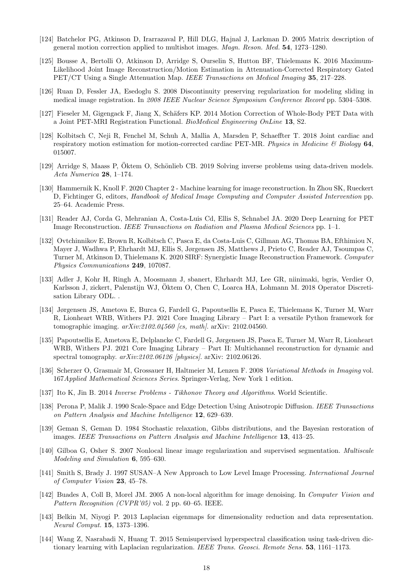- <span id="page-17-0"></span>[124] Batchelor PG, Atkinson D, Irarrazaval P, Hill DLG, Hajnal J, Larkman D. 2005 Matrix description of general motion correction applied to multishot images. Magn. Reson. Med. 54, 1273–1280.
- <span id="page-17-1"></span>[125] Bousse A, Bertolli O, Atkinson D, Arridge S, Ourselin S, Hutton BF, Thielemans K. 2016 Maximum-Likelihood Joint Image Reconstruction/Motion Estimation in Attenuation-Corrected Respiratory Gated PET/CT Using a Single Attenuation Map. IEEE Transactions on Medical Imaging 35, 217–228.
- <span id="page-17-2"></span>[126] Ruan D, Fessler JA, Esedoglu S. 2008 Discontinuity preserving regularization for modeling sliding in medical image registration. In 2008 IEEE Nuclear Science Symposium Conference Record pp. 5304–5308.
- <span id="page-17-3"></span>[127] Fieseler M, Gigengack F, Jiang X, Schäfers KP. 2014 Motion Correction of Whole-Body PET Data with a Joint PET-MRI Registration Functional. BioMedical Engineering OnLine 13, S2.
- <span id="page-17-4"></span>[128] Kolbitsch C, Neji R, Fenchel M, Schuh A, Mallia A, Marsden P, Schaeffter T. 2018 Joint cardiac and respiratory motion estimation for motion-corrected cardiac PET-MR. Physics in Medicine  $\mathcal{B}'$  Biology 64, 015007.
- <span id="page-17-5"></span>[129] Arridge S, Maass P, Öktem O, Schönlieb CB. 2019 Solving inverse problems using data-driven models. Acta Numerica 28, 1–174.
- <span id="page-17-6"></span>[130] Hammernik K, Knoll F. 2020 Chapter 2 - Machine learning for image reconstruction. In Zhou SK, Rueckert D, Fichtinger G, editors, Handbook of Medical Image Computing and Computer Assisted Intervention pp. 25–64. Academic Press.
- <span id="page-17-7"></span>[131] Reader AJ, Corda G, Mehranian A, Costa-Luis Cd, Ellis S, Schnabel JA. 2020 Deep Learning for PET Image Reconstruction. IEEE Transactions on Radiation and Plasma Medical Sciences pp. 1–1.
- <span id="page-17-8"></span>[132] Ovtchinnikov E, Brown R, Kolbitsch C, Pasca E, da Costa-Luis C, Gillman AG, Thomas BA, Efthimiou N, Mayer J, Wadhwa P, Ehrhardt MJ, Ellis S, Jørgensen JS, Matthews J, Prieto C, Reader AJ, Tsoumpas C, Turner M, Atkinson D, Thielemans K. 2020 SIRF: Synergistic Image Reconstruction Framework. Computer Physics Communications 249, 107087.
- <span id="page-17-9"></span>[133] Adler J, Kohr H, Ringh A, Moosmann J, sbanert, Ehrhardt MJ, Lee GR, niinimaki, bgris, Verdier O, Karlsson J, zickert, Palenstijn WJ, Oktem O, Chen C, Loarca HA, Lohmann M. 2018 Operator Discretisation Library ODL. .
- <span id="page-17-10"></span>[134] Jørgensen JS, Ametova E, Burca G, Fardell G, Papoutsellis E, Pasca E, Thielemans K, Turner M, Warr R, Lionheart WRB, Withers PJ. 2021 Core Imaging Library – Part I: a versatile Python framework for tomographic imaging.  $arXiv:2102.04560$  [cs, math]. arXiv: 2102.04560.
- <span id="page-17-11"></span>[135] Papoutsellis E, Ametova E, Delplancke C, Fardell G, Jørgensen JS, Pasca E, Turner M, Warr R, Lionheart WRB, Withers PJ. 2021 Core Imaging Library – Part II: Multichannel reconstruction for dynamic and spectral tomography.  $arXiv:2102.06126$  [physics]. arXiv: 2102.06126.
- <span id="page-17-12"></span>[136] Scherzer O, Grasmair M, Grossauer H, Haltmeier M, Lenzen F. 2008 Variational Methods in Imaging vol. 167Applied Mathematical Sciences Series. Springer-Verlag, New York 1 edition.
- <span id="page-17-13"></span>[137] Ito K, Jin B. 2014 Inverse Problems - Tikhonov Theory and Algorithms. World Scientific.
- <span id="page-17-14"></span>[138] Perona P, Malik J. 1990 Scale-Space and Edge Detection Using Anisotropic Diffusion. IEEE Transactions on Pattern Analysis and Machine Intelligence 12, 629–639.
- <span id="page-17-15"></span>[139] Geman S, Geman D. 1984 Stochastic relaxation, Gibbs distributions, and the Bayesian restoration of images. IEEE Transactions on Pattern Analysis and Machine Intelligence 13, 413–25.
- <span id="page-17-16"></span>[140] Gilboa G, Osher S. 2007 Nonlocal linear image regularization and supervised segmentation. Multiscale Modeling and Simulation 6, 595–630.
- <span id="page-17-17"></span>[141] Smith S, Brady J. 1997 SUSAN–A New Approach to Low Level Image Processing. International Journal of Computer Vision 23, 45–78.
- <span id="page-17-18"></span>[142] Buades A, Coll B, Morel JM. 2005 A non-local algorithm for image denoising. In Computer Vision and Pattern Recognition (CVPR'05) vol. 2 pp. 60–65. IEEE.
- <span id="page-17-19"></span>[143] Belkin M, Niyogi P. 2013 Laplacian eigenmaps for dimensionality reduction and data representation. Neural Comput. 15, 1373–1396.
- <span id="page-17-20"></span>[144] Wang Z, Nasrabadi N, Huang T. 2015 Semisupervised hyperspectral classification using task-driven dictionary learning with Laplacian regularization. IEEE Trans. Geosci. Remote Sens. 53, 1161–1173.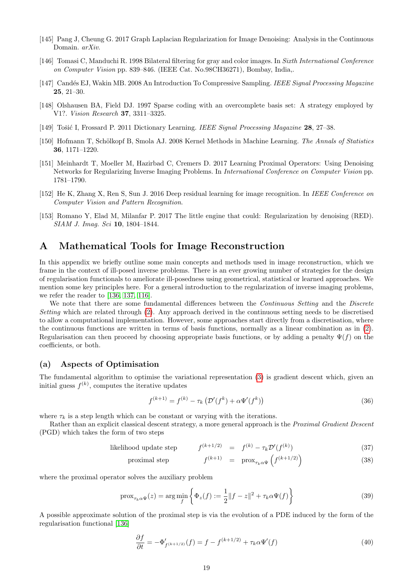- <span id="page-18-3"></span>[145] Pang J, Cheung G. 2017 Graph Laplacian Regularization for Image Denoising: Analysis in the Continuous Domain. arXiv.
- <span id="page-18-4"></span>[146] Tomasi C, Manduchi R. 1998 Bilateral filtering for gray and color images. In Sixth International Conference on Computer Vision pp. 839–846. (IEEE Cat. No.98CH36271), Bombay, India,.
- <span id="page-18-5"></span>[147] Candés EJ, Wakin MB. 2008 An Introduction To Compressive Sampling. IEEE Signal Processing Magazine 25, 21–30.
- <span id="page-18-6"></span>[148] Olshausen BA, Field DJ. 1997 Sparse coding with an overcomplete basis set: A strategy employed by V1?. Vision Research 37, 3311–3325.
- <span id="page-18-7"></span>[149] Tošić I, Frossard P. 2011 Dictionary Learning. IEEE Signal Processing Magazine 28, 27–38.
- <span id="page-18-8"></span>[150] Hofmann T, Schölkopf B, Smola AJ. 2008 Kernel Methods in Machine Learning. The Annals of Statistics 36, 1171–1220.
- <span id="page-18-10"></span>[151] Meinhardt T, Moeller M, Hazirbad C, Cremers D. 2017 Learning Proximal Operators: Using Denoising Networks for Regularizing Inverse Imaging Problems. In International Conference on Computer Vision pp. 1781–1790.
- <span id="page-18-11"></span>[152] He K, Zhang X, Ren S, Sun J. 2016 Deep residual learning for image recognition. In IEEE Conference on Computer Vision and Pattern Recognition.
- <span id="page-18-12"></span>[153] Romano Y, Elad M, Milanfar P. 2017 The little engine that could: Regularization by denoising (RED). SIAM J. Imag. Sci 10, 1804–1844.

## <span id="page-18-0"></span>A Mathematical Tools for Image Reconstruction

In this appendix we briefly outline some main concepts and methods used in image reconstruction, which we frame in the context of ill-posed inverse problems. There is an ever growing number of strategies for the design of regularisation functionals to ameliorate ill-posedness using geometrical, statistical or learned approaches. We mention some key principles here. For a general introduction to the regularization of inverse imaging problems, we refer the reader to [\[136,](#page-17-12) [137,](#page-17-13) [116\]](#page-16-14).

We note that there are some fundamental differences between the Continuous Setting and the Discrete Setting which are related through [\(2\)](#page-2-3). Any approach derived in the continuous setting needs to be discretised to allow a computational implementation. However, some approaches start directly from a discretisation, where the continuous functions are written in terms of basis functions, normally as a linear combination as in [\(2\)](#page-2-3). Regularisation can then proceed by choosing appropriate basis functions, or by adding a penalty  $\Psi(f)$  on the coefficients, or both.

### (a) Aspects of Optimisation

The fundamental algorithm to optimise the variational representation [\(3\)](#page-2-1) is gradient descent which, given an initial guess  $f^{(k)}$ , computes the iterative updates

<span id="page-18-1"></span>
$$
f^{(k+1)} = f^{(k)} - \tau_k \left( \mathcal{D}'(f^k) + \alpha \Psi'(f^k) \right)
$$
\n(36)

where  $\tau_k$  is a step length which can be constant or varying with the iterations.

Rather than an explicit classical descent strategy, a more general approach is the *Proximal Gradient Descent* (PGD) which takes the form of two steps

> <span id="page-18-9"></span>likelihood update step  $(k+1/2) = f^{(k)} - \tau_k \mathcal{D}'(f^{(k)})$  $(37)$

proximal step 
$$
f^{(k+1)} = \text{prox}_{\tau_k \alpha \Psi} \left( f^{(k+1/2)} \right)
$$
 (38)

where the proximal operator solves the auxiliary problem

$$
\text{prox}_{\tau_k \alpha \Psi}(z) = \arg \min_{f} \left\{ \Phi_z(f) := \frac{1}{2} \| f - z \|^2 + \tau_k \alpha \Psi(f) \right\} \tag{39}
$$

A possible approximate solution of the proximal step is via the evolution of a PDE induced by the form of the regularisation functional [\[136\]](#page-17-12)

<span id="page-18-2"></span>
$$
\frac{\partial f}{\partial t} = -\Phi'_{f^{(k+1/2)}}(f) = f - f^{(k+1/2)} + \tau_k \alpha \Psi'(f) \tag{40}
$$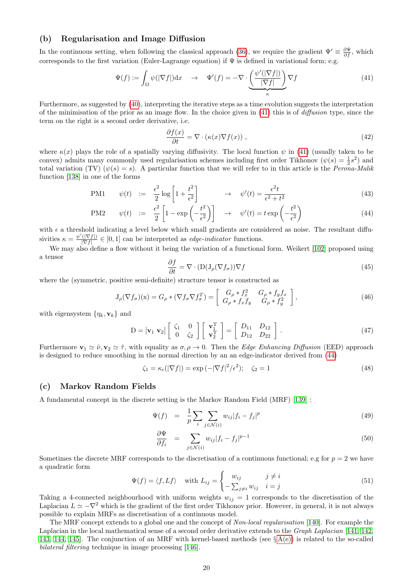#### (b) Regularisation and Image Diffusion

In the continuous setting, when following the classical approach [\(36\)](#page-18-1), we require the gradient  $\Psi' \equiv \frac{\partial \Psi}{\partial f}$ , which corresponds to the first variation (Euler-Lagrange equation) if  $\Psi$  is defined in variational form; e.g.

<span id="page-19-0"></span>
$$
\Psi(f) := \int_{\Omega} \psi(|\nabla f|) dx \quad \to \quad \Psi'(f) = -\nabla \cdot \underbrace{\left(\frac{\psi'(|\nabla f|)}{|\nabla f|}\right)}_{\kappa} \nabla f \tag{41}
$$

Furthermore, as suggested by [\(40\)](#page-18-2), interpreting the iterative steps as a time evolution suggests the interpretation of the minimisation of the prior as an image flow. In the choice given in  $(41)$  this is of *diffusion* type, since the term on the right is a second order derivative, i.e.

$$
\frac{\partial f(x)}{\partial t} = \nabla \cdot (\kappa(x)\nabla f(x)),\tag{42}
$$

where  $\kappa(x)$  plays the role of a spatially varying diffusivity. The local function  $\psi$  in [\(41\)](#page-19-0) (usually taken to be convex) admits many commonly used regularisation schemes including first order Tikhonov ( $\psi(s) = \frac{1}{2}s^2$ ) and total variation (TV)  $(\psi(s) = s)$ . A particular function that we will refer to in this article is the *Perona-Malik* function [\[138\]](#page-17-14) in one of the forms

<span id="page-19-1"></span>
$$
PM1 \qquad \psi(t) \quad := \quad \frac{\epsilon^2}{2} \log\left[1 + \frac{t^2}{\epsilon^2}\right] \qquad \qquad \to \quad \psi'(t) = \frac{\epsilon^2 t}{\epsilon^2 + t^2} \tag{43}
$$

$$
\text{PM2} \qquad \psi(t) \quad := \quad \frac{\epsilon^2}{2} \left[ 1 - \exp\left( -\frac{t^2}{\epsilon^2} \right) \right] \quad \to \quad \psi'(t) = t \exp\left( -\frac{t^2}{\epsilon^2} \right) \tag{44}
$$

with  $\epsilon$  a threshold indicating a level below which small gradients are considered as noise. The resultant diffusivities  $\kappa = \frac{\psi'(|\nabla f|)}{|\nabla f|}$  $\frac{(|Vf|)}{|\nabla f|} \in [0, 1]$  can be interpreted as *edge-indicator* functions.

We may also define a flow without it being the variation of a functional form. Weikert [\[102\]](#page-16-0) proposed using a tensor

<span id="page-19-2"></span>
$$
\frac{\partial f}{\partial t} = \nabla \cdot (\mathcal{D}(\mathcal{J}_{\rho}(\nabla f_{\sigma})) \nabla f \tag{45}
$$

where the (symmetric, positive semi-definite) structure tensor is constructed as

$$
J_{\rho}(\nabla f_{\sigma})(x) = G_{\rho} * (\nabla f_{\sigma} \nabla f_{\sigma}^{T}) = \begin{bmatrix} G_{\rho} * f_{x}^{2} & G_{\rho} * f_{y} f_{x} \\ G_{\rho} * f_{x} f_{y} & G_{\rho} * f_{y}^{2} \end{bmatrix},
$$
(46)

with eigensystem  $\{\eta_k, \mathbf{v}_k\}$  and

<span id="page-19-3"></span>
$$
\mathbf{D} = [\mathbf{v}_1 \ \mathbf{v}_2] \begin{bmatrix} \zeta_1 & 0 \\ 0 & \zeta_2 \end{bmatrix} \begin{bmatrix} \mathbf{v}_1^{\mathrm{T}} \\ \mathbf{v}_2^{\mathrm{T}} \end{bmatrix} = \begin{bmatrix} D_{11} & D_{12} \\ D_{12} & D_{22} \end{bmatrix} . \tag{47}
$$

Furthermore  $\mathbf{v}_1 \simeq \hat{\nu}, \mathbf{v}_2 \simeq \hat{\tau}$ , with equality as  $\sigma, \rho \to 0$ . Then the *Edge Enhancing Diffusion* (EED) approach is designed to reduce smoothing in the normal direction by an an edge-indicator derived from [\(44\)](#page-19-1)

$$
\zeta_1 = \kappa_\epsilon(|\nabla f|) = \exp\left(-|\nabla f|^2/\epsilon^2\right); \quad \zeta_2 = 1 \tag{48}
$$

#### (c) Markov Random Fields

A fundamental concept in the discrete setting is the Markov Random Field (MRF) [\[139\]](#page-17-15) :

<span id="page-19-4"></span>
$$
\Psi(f) = \frac{1}{p} \sum_{i} \sum_{j \in \mathcal{N}(i)} w_{ij} |f_i - f_j|^p \tag{49}
$$

$$
\frac{\partial \Psi}{\partial f_i} = \sum_{j \in \mathcal{N}(i)} w_{ij} |f_i - f_j|^{p-1}
$$
\n(50)

Sometimes the discrete MRF corresponds to the discretisation of a continuous functional; e.g for  $p = 2$  we have a quadratic form

$$
\Psi(f) = \langle f, Lf \rangle \quad \text{with } L_{ij} = \begin{cases} w_{ij} & j \neq i \\ -\sum_{j \neq i} w_{ij} & i = j \end{cases}
$$
\n(51)

Taking a 4-connected neighbourhood with uniform weights  $w_{ii} = 1$  corresponds to the discretisation of the Laplacian  $L \simeq -\nabla^2$  which is the gradient of the first order Tikhonov prior. However, in general, it is not always possible to explain MRFs as discretisation of a continuous model.

The MRF concept extends to a global one and the concept of Non-local regularisation [\[140\]](#page-17-16). For example the Laplacian in the local mathematical sense of a second order derivative extends to the Graph Laplacian [\[141,](#page-17-17) [142,](#page-17-18) [143,](#page-17-19) [144,](#page-17-20) 145. The conjunction of an MRF with kernel-based methods (see  $\S A(e)$ ) is related to the so-called bilateral filtering technique in image processing [\[146\]](#page-18-4).